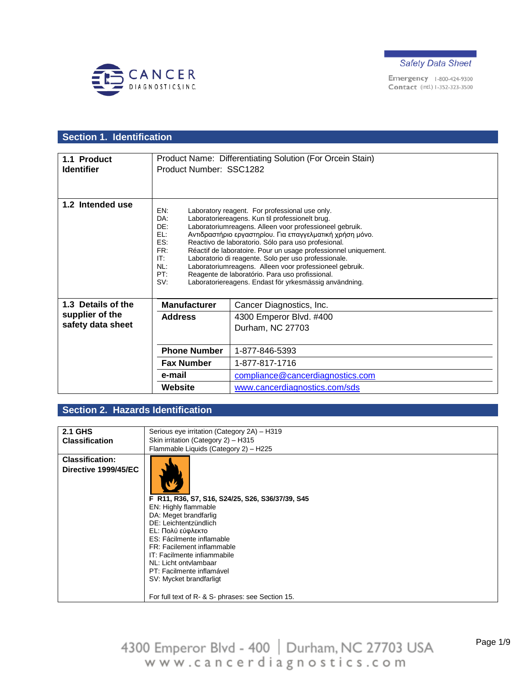



# **Section 1. Identification**

| 1.1 Product<br><b>Identifier</b> | Product Number: SSC1282                                            | Product Name: Differentiating Solution (For Orcein Stain)                                                                                                                                                                                                                                                                                                                                                                                                                                                                                                                          |
|----------------------------------|--------------------------------------------------------------------|------------------------------------------------------------------------------------------------------------------------------------------------------------------------------------------------------------------------------------------------------------------------------------------------------------------------------------------------------------------------------------------------------------------------------------------------------------------------------------------------------------------------------------------------------------------------------------|
|                                  |                                                                    |                                                                                                                                                                                                                                                                                                                                                                                                                                                                                                                                                                                    |
| 1.2 Intended use                 | EN:<br>DA:<br>DE:<br>EL:<br>ES:<br>FR:<br>IT:<br>NL:<br>PT:<br>SV: | Laboratory reagent. For professional use only.<br>Laboratoriereagens. Kun til professionelt brug.<br>Laboratoriumreagens. Alleen voor professioneel gebruik.<br>Αντιδραστήριο εργαστηρίου. Για επαγγελματική χρήση μόνο.<br>Reactivo de laboratorio. Sólo para uso profesional.<br>Réactif de laboratoire. Pour un usage professionnel uniquement.<br>Laboratorio di reagente. Solo per uso professionale.<br>Laboratoriumreagens. Alleen voor professioneel gebruik.<br>Reagente de laboratório. Para uso profissional.<br>Laboratoriereagens. Endast för yrkesmässig användning. |
| 1.3 Details of the               | <b>Manufacturer</b>                                                | Cancer Diagnostics, Inc.                                                                                                                                                                                                                                                                                                                                                                                                                                                                                                                                                           |
| supplier of the                  | <b>Address</b>                                                     | 4300 Emperor Blvd. #400                                                                                                                                                                                                                                                                                                                                                                                                                                                                                                                                                            |
| safety data sheet                |                                                                    | Durham, NC 27703                                                                                                                                                                                                                                                                                                                                                                                                                                                                                                                                                                   |
|                                  |                                                                    |                                                                                                                                                                                                                                                                                                                                                                                                                                                                                                                                                                                    |
|                                  | <b>Phone Number</b>                                                | 1-877-846-5393                                                                                                                                                                                                                                                                                                                                                                                                                                                                                                                                                                     |
|                                  | <b>Fax Number</b>                                                  | 1-877-817-1716                                                                                                                                                                                                                                                                                                                                                                                                                                                                                                                                                                     |
|                                  | e-mail                                                             | compliance@cancerdiagnostics.com                                                                                                                                                                                                                                                                                                                                                                                                                                                                                                                                                   |
|                                  | Website                                                            | www.cancerdiagnostics.com/sds                                                                                                                                                                                                                                                                                                                                                                                                                                                                                                                                                      |

## **Section 2. Hazards Identification**

| <b>2.1 GHS</b>         |                                                                                                                                                                                                                                                                                                                                                                                 |
|------------------------|---------------------------------------------------------------------------------------------------------------------------------------------------------------------------------------------------------------------------------------------------------------------------------------------------------------------------------------------------------------------------------|
|                        | Serious eye irritation (Category 2A) - H319                                                                                                                                                                                                                                                                                                                                     |
| <b>Classification</b>  | Skin irritation (Category 2) - H315                                                                                                                                                                                                                                                                                                                                             |
|                        | Flammable Liquids (Category 2) - H225                                                                                                                                                                                                                                                                                                                                           |
| <b>Classification:</b> |                                                                                                                                                                                                                                                                                                                                                                                 |
| Directive 1999/45/EC   | F R11, R36, S7, S16, S24/25, S26, S36/37/39, S45<br>EN: Highly flammable<br>DA: Meget brandfarlig<br>DE: Leichtentzündlich<br>EL: Πολύ εύφλεκτο<br>ES: Fácilmente inflamable<br>FR: Facilement inflammable<br>IT: Facilmente infiammabile<br>NL: Licht ontvlambaar<br>PT: Facilmente inflamável<br>SV: Mycket brandfarligt<br>For full text of R- & S- phrases: see Section 15. |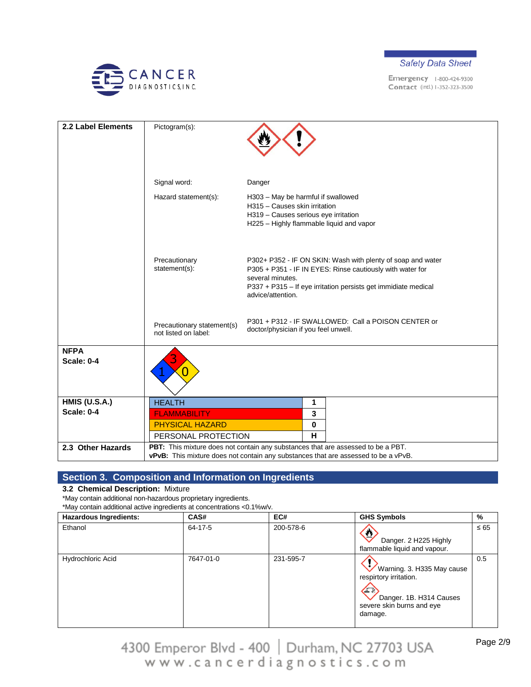



| 2.2 Label Elements               | Pictogram(s):                                      |                                                                                                                                                                                                                                     |
|----------------------------------|----------------------------------------------------|-------------------------------------------------------------------------------------------------------------------------------------------------------------------------------------------------------------------------------------|
|                                  | Signal word:                                       | Danger                                                                                                                                                                                                                              |
|                                  | Hazard statement(s):                               | H303 - May be harmful if swallowed<br>H315 - Causes skin irritation<br>H319 - Causes serious eye irritation<br>H225 - Highly flammable liquid and vapor                                                                             |
|                                  | Precautionary<br>statement(s):                     | P302+ P352 - IF ON SKIN: Wash with plenty of soap and water<br>P305 + P351 - IF IN EYES: Rinse cautiously with water for<br>several minutes.<br>P337 + P315 - If eye irritation persists get immidiate medical<br>advice/attention. |
|                                  | Precautionary statement(s)<br>not listed on label: | P301 + P312 - IF SWALLOWED: Call a POISON CENTER or<br>doctor/physician if you feel unwell.                                                                                                                                         |
| <b>NFPA</b><br><b>Scale: 0-4</b> |                                                    |                                                                                                                                                                                                                                     |
| <b>HMIS (U.S.A.)</b>             | <b>HEALTH</b>                                      | 1                                                                                                                                                                                                                                   |
| <b>Scale: 0-4</b>                | <b>FLAMMABILITY</b>                                | 3                                                                                                                                                                                                                                   |
|                                  | <b>PHYSICAL HAZARD</b><br>PERSONAL PROTECTION      | 0<br>H                                                                                                                                                                                                                              |
| 2.3 Other Hazards                |                                                    | PBT: This mixture does not contain any substances that are assessed to be a PBT.                                                                                                                                                    |
|                                  |                                                    | vPvB: This mixture does not contain any substances that are assessed to be a vPvB.                                                                                                                                                  |

# **Section 3. Composition and Information on Ingredients**

#### **3.2 Chemical Description:** Mixture

\*May contain additional non-hazardous proprietary ingredients.

\*May contain additional active ingredients at concentrations <0.1%w/v.

| <b>Hazardous Ingredients:</b> | CAS#      | EC#       | <b>GHS Symbols</b>                                                                                                           | %         |
|-------------------------------|-----------|-----------|------------------------------------------------------------------------------------------------------------------------------|-----------|
| Ethanol                       | 64-17-5   | 200-578-6 | O<br>Danger. 2 H225 Highly<br>flammable liquid and vapour.                                                                   | $\leq 65$ |
| Hydrochloric Acid             | 7647-01-0 | 231-595-7 | Warning. 3. H335 May cause<br>respirtory irritation.<br>Œ<br>Danger. 1B. H314 Causes<br>severe skin burns and eye<br>damage. | 0.5       |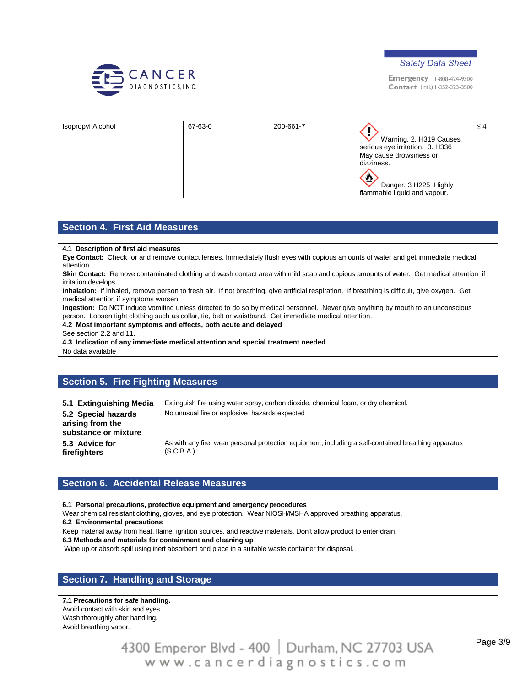



| Isopropyl Alcohol | 67-63-0 | 200-661-7 |                                                            | $\leq 4$ |
|-------------------|---------|-----------|------------------------------------------------------------|----------|
|                   |         |           | Warning. 2. H319 Causes<br>serious eye irritation. 3. H336 |          |
|                   |         |           | May cause drowsiness or<br>dizziness.                      |          |
|                   |         |           | J.                                                         |          |
|                   |         |           | Danger. 3 H225 Highly                                      |          |
|                   |         |           | flammable liquid and vapour.                               |          |

#### **Section 4. First Aid Measures**

#### **4.1 Description of first aid measures**

**Eye Contact:** Check for and remove contact lenses. Immediately flush eyes with copious amounts of water and get immediate medical attention.

**Skin Contact:** Remove contaminated clothing and wash contact area with mild soap and copious amounts of water. Get medical attention if irritation develops.

**Inhalation:** If inhaled, remove person to fresh air. If not breathing, give artificial respiration. If breathing is difficult, give oxygen. Get medical attention if symptoms worsen.

**Ingestion:** Do NOT induce vomiting unless directed to do so by medical personnel. Never give anything by mouth to an unconscious person. Loosen tight clothing such as collar, tie, belt or waistband. Get immediate medical attention.

#### **4.2 Most important symptoms and effects, both acute and delayed**

See section 2.2 and 11.

**4.3 Indication of any immediate medical attention and special treatment needed**

No data available

### **Section 5. Fire Fighting Measures**

| 5.1 Extinguishing Media                                         | Extinguish fire using water spray, carbon dioxide, chemical foam, or dry chemical.                                 |
|-----------------------------------------------------------------|--------------------------------------------------------------------------------------------------------------------|
| 5.2 Special hazards<br>arising from the<br>substance or mixture | No unusual fire or explosive hazards expected                                                                      |
| 5.3 Advice for<br>firefighters                                  | As with any fire, wear personal protection equipment, including a self-contained breathing apparatus<br>(S.C.B.A.) |

#### **Section 6. Accidental Release Measures**

**6.1 Personal precautions, protective equipment and emergency procedures**

Wear chemical resistant clothing, gloves, and eye protection. Wear NIOSH/MSHA approved breathing apparatus.

**6.2 Environmental precautions**

Keep material away from heat, flame, ignition sources, and reactive materials. Don't allow product to enter drain.

**6.3 Methods and materials for containment and cleaning up**

Wipe up or absorb spill using inert absorbent and place in a suitable waste container for disposal.

### **Section 7. Handling and Storage**

**7.1 Precautions for safe handling.** Avoid contact with skin and eyes. Wash thoroughly after handling. Avoid breathing vapor.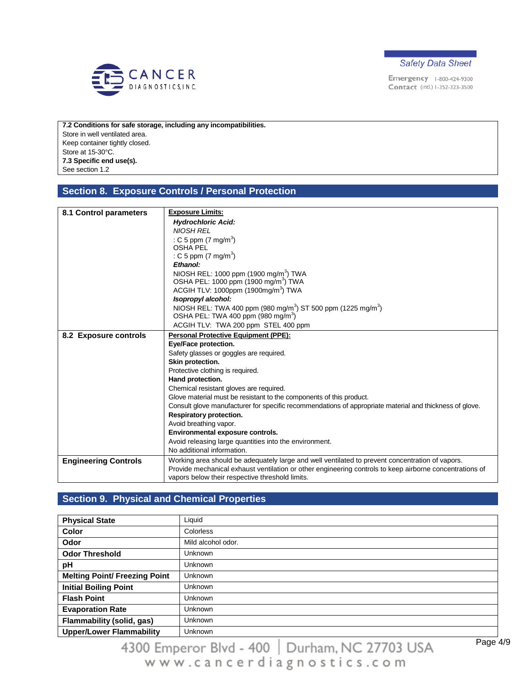



**7.2 Conditions for safe storage, including any incompatibilities.** Store in well ventilated area. Keep container tightly closed. Store at 15-30°C. **7.3 Specific end use(s).** See section 1.2

### **Section 8. Exposure Controls / Personal Protection**

| 8.1 Control parameters      | <b>Exposure Limits:</b>                                                                                 |
|-----------------------------|---------------------------------------------------------------------------------------------------------|
|                             | <b>Hydrochloric Acid:</b>                                                                               |
|                             | <b>NIOSH REL</b>                                                                                        |
|                             | : C 5 ppm $(7 \text{ mg/m}^3)$                                                                          |
|                             | <b>OSHA PEL</b>                                                                                         |
|                             | : C 5 ppm $(7 \text{ mg/m}^3)$                                                                          |
|                             | Ethanol:                                                                                                |
|                             | NIOSH REL: 1000 ppm (1900 mg/m <sup>3</sup> ) TWA                                                       |
|                             | OSHA PEL: 1000 ppm (1900 mg/m <sup>3</sup> ) TWA                                                        |
|                             | ACGIH TLV: 1000ppm (1900mg/m <sup>3</sup> ) TWA                                                         |
|                             | Isopropyl alcohol:                                                                                      |
|                             | NIOSH REL: TWA 400 ppm (980 mg/m <sup>3</sup> ) ST 500 ppm (1225 mg/m <sup>3</sup> )                    |
|                             | OSHA PEL: TWA 400 ppm (980 mg/m <sup>3</sup> )                                                          |
|                             | ACGIH TLV: TWA 200 ppm STEL 400 ppm                                                                     |
| 8.2 Exposure controls       | <b>Personal Protective Equipment (PPE):</b>                                                             |
|                             | Eye/Face protection.                                                                                    |
|                             | Safety glasses or goggles are required.                                                                 |
|                             | Skin protection.                                                                                        |
|                             | Protective clothing is required.                                                                        |
|                             | Hand protection.                                                                                        |
|                             | Chemical resistant gloves are required.                                                                 |
|                             | Glove material must be resistant to the components of this product.                                     |
|                             | Consult glove manufacturer for specific recommendations of appropriate material and thickness of glove. |
|                             | Respiratory protection.                                                                                 |
|                             | Avoid breathing vapor.                                                                                  |
|                             | Environmental exposure controls.                                                                        |
|                             | Avoid releasing large quantities into the environment.                                                  |
|                             | No additional information.                                                                              |
| <b>Engineering Controls</b> | Working area should be adequately large and well ventilated to prevent concentration of vapors.         |
|                             | Provide mechanical exhaust ventilation or other engineering controls to keep airborne concentrations of |
|                             | vapors below their respective threshold limits.                                                         |

## **Section 9. Physical and Chemical Properties**

| <b>Physical State</b>                | Liquid             |
|--------------------------------------|--------------------|
| <b>Color</b>                         | Colorless          |
| <b>Odor</b>                          | Mild alcohol odor. |
| <b>Odor Threshold</b>                | <b>Unknown</b>     |
| pH                                   | Unknown            |
| <b>Melting Point/ Freezing Point</b> | <b>Unknown</b>     |
| <b>Initial Boiling Point</b>         | <b>Unknown</b>     |
| <b>Flash Point</b>                   | <b>Unknown</b>     |
| <b>Evaporation Rate</b>              | <b>Unknown</b>     |
| <b>Flammability (solid, gas)</b>     | <b>Unknown</b>     |
| <b>Upper/Lower Flammability</b>      | <b>Unknown</b>     |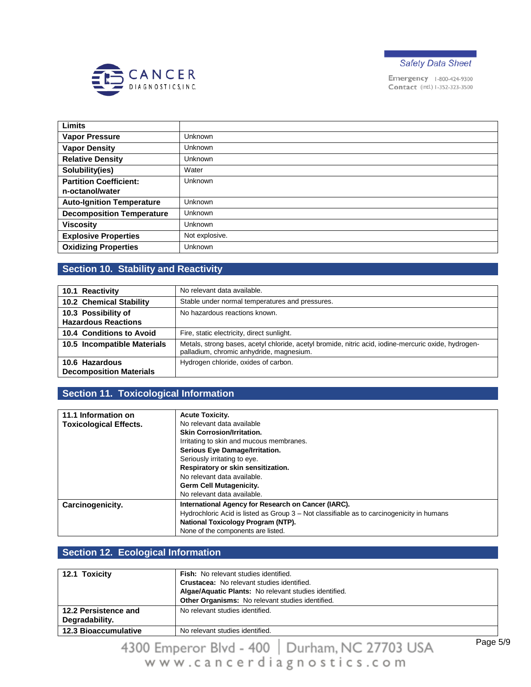



| <b>Limits</b>                    |                |
|----------------------------------|----------------|
| <b>Vapor Pressure</b>            | <b>Unknown</b> |
| <b>Vapor Density</b>             | <b>Unknown</b> |
| <b>Relative Density</b>          | <b>Unknown</b> |
| Solubility(ies)                  | Water          |
| <b>Partition Coefficient:</b>    | <b>Unknown</b> |
| n-octanol/water                  |                |
| <b>Auto-Ignition Temperature</b> | <b>Unknown</b> |
| <b>Decomposition Temperature</b> | <b>Unknown</b> |
| <b>Viscosity</b>                 | <b>Unknown</b> |
| <b>Explosive Properties</b>      | Not explosive. |
| <b>Oxidizing Properties</b>      | <b>Unknown</b> |

# **Section 10. Stability and Reactivity**

| 10.1 Reactivity                                   | No relevant data available.                                                                                                                      |
|---------------------------------------------------|--------------------------------------------------------------------------------------------------------------------------------------------------|
| 10.2 Chemical Stability                           | Stable under normal temperatures and pressures.                                                                                                  |
| 10.3 Possibility of<br><b>Hazardous Reactions</b> | No hazardous reactions known.                                                                                                                    |
| 10.4 Conditions to Avoid                          | Fire, static electricity, direct sunlight.                                                                                                       |
| 10.5 Incompatible Materials                       | Metals, strong bases, acetyl chloride, acetyl bromide, nitric acid, iodine-mercuric oxide, hydrogen-<br>palladium, chromic anhydride, magnesium. |
| 10.6 Hazardous<br><b>Decomposition Materials</b>  | Hydrogen chloride, oxides of carbon.                                                                                                             |

# **Section 11. Toxicological Information**

| 11.1 Information on           | <b>Acute Toxicity.</b>                                                                    |
|-------------------------------|-------------------------------------------------------------------------------------------|
| <b>Toxicological Effects.</b> | No relevant data available                                                                |
|                               | <b>Skin Corrosion/Irritation.</b>                                                         |
|                               | Irritating to skin and mucous membranes.                                                  |
|                               | Serious Eye Damage/Irritation.                                                            |
|                               | Seriously irritating to eye.                                                              |
|                               | Respiratory or skin sensitization.                                                        |
|                               | No relevant data available.                                                               |
|                               | <b>Germ Cell Mutagenicity.</b>                                                            |
|                               | No relevant data available.                                                               |
| Carcinogenicity.              | International Agency for Research on Cancer (IARC).                                       |
|                               | Hydrochloric Acid is listed as Group 3 – Not classifiable as to carcinogenicity in humans |
|                               | National Toxicology Program (NTP).                                                        |
|                               | None of the components are listed.                                                        |

## **Section 12. Ecological Information**

| 12.1 Toxicity                          | <b>Fish:</b> No relevant studies identified.<br><b>Crustacea:</b> No relevant studies identified.<br>Algae/Aquatic Plants: No relevant studies identified.<br>Other Organisms: No relevant studies identified. |
|----------------------------------------|----------------------------------------------------------------------------------------------------------------------------------------------------------------------------------------------------------------|
| 12.2 Persistence and<br>Degradability. | No relevant studies identified.                                                                                                                                                                                |
| <b>12.3 Bioaccumulative</b>            | No relevant studies identified.                                                                                                                                                                                |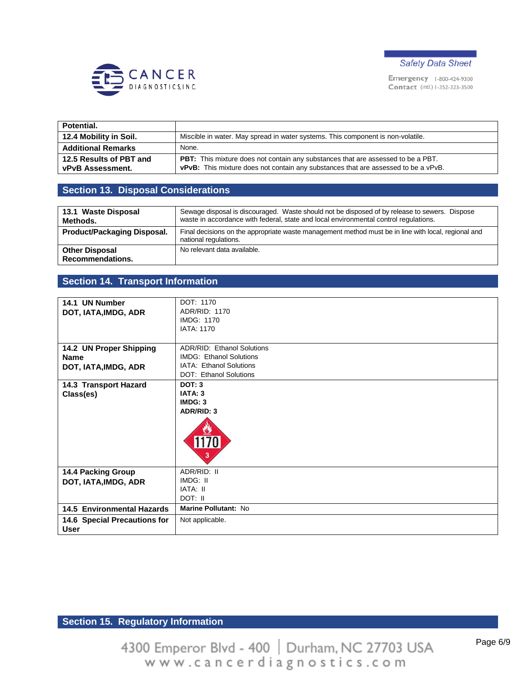



| Potential.                                  |                                                                                                                                                                                      |
|---------------------------------------------|--------------------------------------------------------------------------------------------------------------------------------------------------------------------------------------|
| 12.4 Mobility in Soil.                      | Miscible in water. May spread in water systems. This component is non-volatile.                                                                                                      |
| <b>Additional Remarks</b>                   | None.                                                                                                                                                                                |
| 12.5 Results of PBT and<br>vPvB Assessment. | <b>PBT:</b> This mixture does not contain any substances that are assessed to be a PBT.<br><b>vPvB:</b> This mixture does not contain any substances that are assessed to be a vPvB. |

## **Section 13. Disposal Considerations**

| 13.1 Waste Disposal<br>Methods.                  | Sewage disposal is discouraged. Waste should not be disposed of by release to sewers. Dispose<br>waste in accordance with federal, state and local environmental control regulations. |
|--------------------------------------------------|---------------------------------------------------------------------------------------------------------------------------------------------------------------------------------------|
| Product/Packaging Disposal.                      | Final decisions on the appropriate waste management method must be in line with local, regional and<br>national regulations.                                                          |
| <b>Other Disposal</b><br><b>Recommendations.</b> | No relevant data available.                                                                                                                                                           |

## **Section 14. Transport Information**

| 14.1 UN Number                              | DOT: 1170                      |  |
|---------------------------------------------|--------------------------------|--|
| DOT, IATA, IMDG, ADR                        | ADR/RID: 1170                  |  |
|                                             | <b>IMDG: 1170</b>              |  |
|                                             | <b>IATA: 1170</b>              |  |
|                                             |                                |  |
| 14.2 UN Proper Shipping                     | ADR/RID: Ethanol Solutions     |  |
| <b>Name</b>                                 | <b>IMDG: Ethanol Solutions</b> |  |
| DOT, IATA, IMDG, ADR                        | IATA: Ethanol Solutions        |  |
|                                             | <b>DOT: Ethanol Solutions</b>  |  |
| 14.3 Transport Hazard                       | <b>DOT: 3</b>                  |  |
| Class(es)                                   | IATA: 3                        |  |
|                                             | IMDG: 3                        |  |
|                                             | ADR/RID: 3                     |  |
|                                             | 1170<br>3                      |  |
| <b>14.4 Packing Group</b>                   | ADR/RID: II                    |  |
| DOT, IATA, IMDG, ADR                        | IMDG: II                       |  |
|                                             | IATA: II                       |  |
|                                             | DOT: II                        |  |
| 14.5 Environmental Hazards                  | Marine Pollutant: No           |  |
| 14.6 Special Precautions for<br><b>User</b> | Not applicable.                |  |

# **Section 15. Regulatory Information**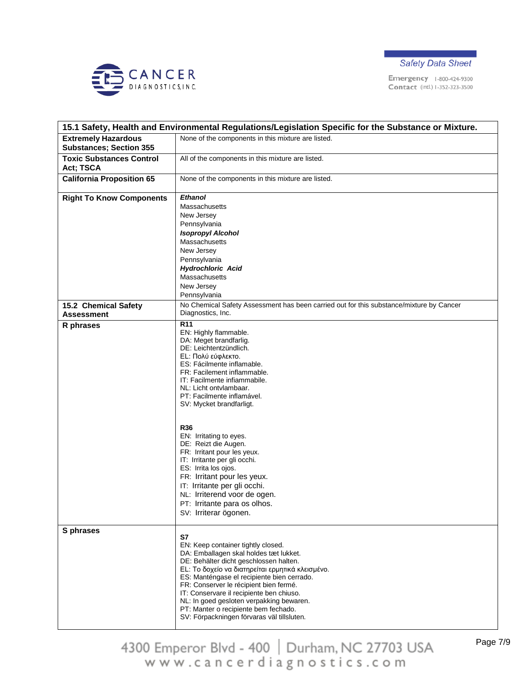



|                                                              | 15.1 Safety, Health and Environmental Regulations/Legislation Specific for the Substance or Mixture.                                                                                                                                                                                                                                                                                                                                                                                                                                                                                                                 |  |  |
|--------------------------------------------------------------|----------------------------------------------------------------------------------------------------------------------------------------------------------------------------------------------------------------------------------------------------------------------------------------------------------------------------------------------------------------------------------------------------------------------------------------------------------------------------------------------------------------------------------------------------------------------------------------------------------------------|--|--|
| <b>Extremely Hazardous</b><br><b>Substances; Section 355</b> | None of the components in this mixture are listed.                                                                                                                                                                                                                                                                                                                                                                                                                                                                                                                                                                   |  |  |
| <b>Toxic Substances Control</b><br>Act; TSCA                 | All of the components in this mixture are listed.                                                                                                                                                                                                                                                                                                                                                                                                                                                                                                                                                                    |  |  |
| <b>California Proposition 65</b>                             | None of the components in this mixture are listed.                                                                                                                                                                                                                                                                                                                                                                                                                                                                                                                                                                   |  |  |
| <b>Right To Know Components</b>                              | <b>Ethanol</b><br>Massachusetts<br>New Jersey<br>Pennsylvania<br><b>Isopropyl Alcohol</b><br>Massachusetts<br>New Jersey<br>Pennsylvania<br><b>Hydrochloric Acid</b><br>Massachusetts<br>New Jersey<br>Pennsylvania                                                                                                                                                                                                                                                                                                                                                                                                  |  |  |
| 15.2 Chemical Safety                                         | No Chemical Safety Assessment has been carried out for this substance/mixture by Cancer                                                                                                                                                                                                                                                                                                                                                                                                                                                                                                                              |  |  |
| <b>Assessment</b>                                            | Diagnostics, Inc.                                                                                                                                                                                                                                                                                                                                                                                                                                                                                                                                                                                                    |  |  |
| R phrases                                                    | $\overline{R11}$<br>EN: Highly flammable.<br>DA: Meget brandfarlig.<br>DE: Leichtentzündlich.<br>EL: Πολύ εύφλεκτο.<br>ES: Fácilmente inflamable.<br>FR: Facilement inflammable.<br>IT: Facilmente infiammabile.<br>NL: Licht ontvlambaar.<br>PT: Facilmente inflamável.<br>SV: Mycket brandfarligt.<br><b>R36</b><br>EN: Irritating to eyes.<br>DE: Reizt die Augen.<br>FR: Irritant pour les yeux.<br>IT: Irritante per gli occhi.<br>ES: Irrita los ojos.<br>FR: Irritant pour les yeux.<br>IT: Irritante per gli occhi.<br>NL: Irriterend voor de ogen.<br>PT: Irritante para os olhos.<br>SV: Irriterar ögonen. |  |  |
| S phrases                                                    | S7<br>EN: Keep container tightly closed.<br>DA: Emballagen skal holdes tæt lukket.<br>DE: Behälter dicht geschlossen halten.<br>EL: Το δοχείο να διατηρείται ερμητικά κλεισμένο.<br>ES: Manténgase el recipiente bien cerrado.<br>FR: Conserver le récipient bien fermé.<br>IT: Conservare il recipiente ben chiuso.<br>NL: In goed gesloten verpakking bewaren.<br>PT: Manter o recipiente bem fechado.<br>SV: Förpackningen förvaras väl tillsluten.                                                                                                                                                               |  |  |

4300 Emperor Blvd - 400 | Durham, NC 27703 USA<br>www.cancerdiagnostics.com

Page 7/9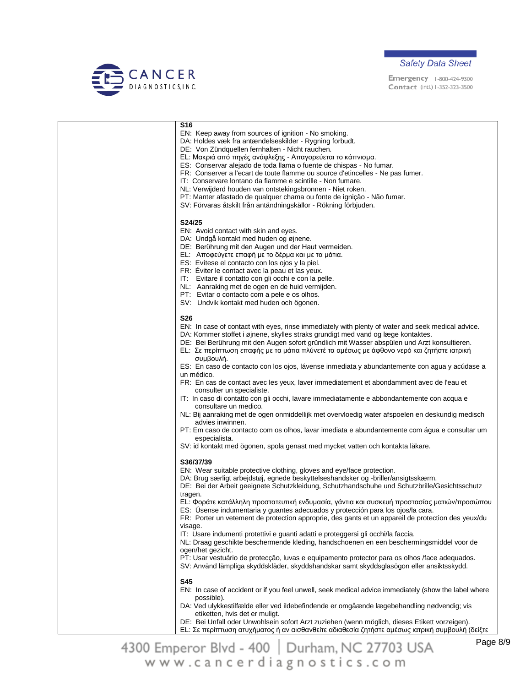



| <b>S16</b>                                                                                                         |
|--------------------------------------------------------------------------------------------------------------------|
| EN: Keep away from sources of ignition - No smoking.                                                               |
| DA: Holdes væk fra antændelseskilder - Rygning forbudt.                                                            |
| DE: Von Zündquellen fernhalten - Nicht rauchen.                                                                    |
| EL: Μακριά από πηγές ανάφλεξης - Απαγορεύεται το κάπνισμα.                                                         |
| ES: Conservar alejado de toda llama o fuente de chispas - No fumar.                                                |
| FR: Conserver a l'ecart de toute flamme ou source d'etincelles - Ne pas fumer.                                     |
| IT: Conservare lontano da fiamme e scintille - Non fumare.                                                         |
| NL: Verwijderd houden van ontstekingsbronnen - Niet roken.                                                         |
| PT: Manter afastado de qualquer chama ou fonte de ignição - Não fumar.                                             |
| SV: Förvaras åtskilt från antändningskällor - Rökning förbjuden.                                                   |
|                                                                                                                    |
| S24/25                                                                                                             |
| EN: Avoid contact with skin and eyes.                                                                              |
| DA: Undgå kontakt med huden og øjnene.                                                                             |
| DE: Berührung mit den Augen und der Haut vermeiden.                                                                |
| EL: Αποφεύγετε επαφή με το δέρμα και με τα μάτια.                                                                  |
| ES: Evítese el contacto con los ojos y la piel.                                                                    |
| FR: Eviter le contact avec la peau et las yeux.<br>IT: Evitare il contatto con gli occhi e con la pelle.           |
| NL: Aanraking met de ogen en de huid vermijden.                                                                    |
| PT: Evitar o contacto com a pele e os olhos.                                                                       |
| SV: Undvik kontakt med huden och ögonen.                                                                           |
|                                                                                                                    |
| <b>S26</b>                                                                                                         |
| EN: In case of contact with eyes, rinse immediately with plenty of water and seek medical advice.                  |
| DA: Kommer stoffet i øjnene, skylles straks grundigt med vand og læge kontaktes.                                   |
| DE: Bei Berührung mit den Augen sofort gründlich mit Wasser abspülen und Arzt konsultieren.                        |
| Ε L: Σε περίπτωση επαφής με τα μάτια πλύνετέ τα αμέσως με άφθονο νερό και ζητήστε ιατρική                          |
| συμβουλή.                                                                                                          |
| ES: En caso de contacto con los ojos, lávense inmediata y abundantemente con agua y acúdase a                      |
| un médico.                                                                                                         |
| FR: En cas de contact avec les yeux, laver immediatement et abondamment avec de l'eau et                           |
| consulter un specialiste.                                                                                          |
| IT: In caso di contatto con gli occhi, lavare immediatamente e abbondantemente con acqua e                         |
| consultare un medico.                                                                                              |
| NL: Bij aanraking met de ogen onmiddellijk met overvloedig water afspoelen en deskundig medisch                    |
| advies inwinnen.                                                                                                   |
| PT: Em caso de contacto com os olhos, lavar imediata e abundantemente com água e consultar um                      |
| especialista.                                                                                                      |
| SV: id kontakt med ögonen, spola genast med mycket vatten och kontakta läkare.                                     |
|                                                                                                                    |
| S36/37/39                                                                                                          |
| EN: Wear suitable protective clothing, gloves and eye/face protection.                                             |
| DA: Brug særligt arbejdstøj, egnede beskyttelseshandsker og -briller/ansigtsskærm.                                 |
| DE: Bei der Arbeit geeignete Schutzkleidung, Schutzhandschuhe und Schutzbrille/Gesichtsschutz                      |
| tragen.                                                                                                            |
| ΕL: Φοράτε κατάλληλη προστατευτική ενδυμασία, γάντια και συσκευή προστασίας ματιών/προσώπου                        |
| ES: Úsense indumentaria y guantes adecuados y protección para los ojos/la cara.                                    |
| FR: Porter un vetement de protection approprie, des gants et un appareil de protection des yeux/du                 |
| visage.                                                                                                            |
| IT: Usare indumenti protettivi e guanti adatti e proteggersi gli occhi/la faccia.                                  |
| NL: Draag geschikte beschermende kleding, handschoenen en een beschermingsmiddel voor de                           |
| ogen/het gezicht.<br>PT: Usar vestuário de protecção, luvas e equipamento protector para os olhos /face adequados. |
| SV: Använd lämpliga skyddskläder, skyddshandskar samt skyddsglasögon eller ansiktsskydd.                           |
|                                                                                                                    |
| <b>S45</b>                                                                                                         |
| EN: In case of accident or if you feel unwell, seek medical advice immediately (show the label where               |
| possible).                                                                                                         |
| DA: Ved ulykkestilfælde eller ved ildebefindende er omgåænde lægebehandling nødvendig; vis                         |
| etiketten, hvis det er muligt.                                                                                     |
| DE: Bei Unfall oder Unwohlsein sofort Arzt zuziehen (wenn möglich, dieses Etikett vorzeigen).                      |
| ΕL: Σε περίπτωση ατυχήματος ή αν αισθανθείτε αδιαθεσία ζητήστε αμέσως ιατρική συμβουλή (δείξτε                     |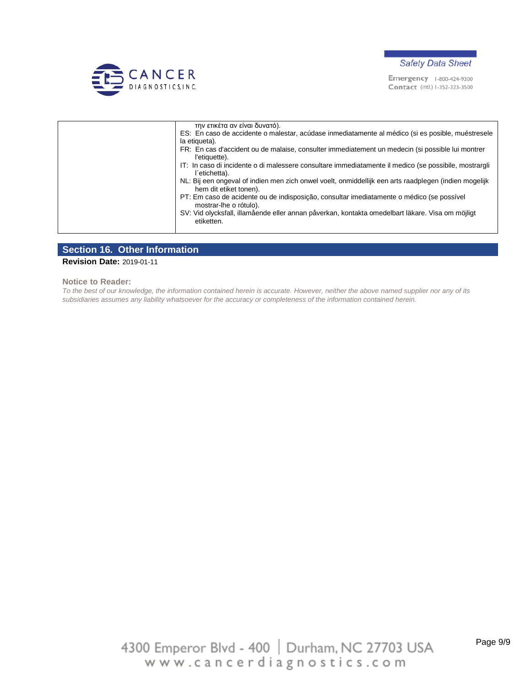



| την ετικέτα αν είναι δυνατό).                                                                                                   |
|---------------------------------------------------------------------------------------------------------------------------------|
| ES: En caso de accidente o malestar, acúdase inmediatamente al médico (si es posible, muéstresele                               |
| la etiqueta).                                                                                                                   |
| FR: En cas d'accident ou de malaise, consulter immediatement un medecin (si possible lui montrer<br>l'etiauette).               |
| IT: In caso di incidente o di malessere consultare immediatamente il medico (se possibile, mostrargli<br>l`etichetta).          |
| NL: Bij een ongeval of indien men zich onwel voelt, onmiddellijk een arts raadplegen (indien mogelijk<br>hem dit etiket tonen). |
| PT: Em caso de acidente ou de indisposição, consultar imediatamente o médico (se possível<br>mostrar-lhe o rótulo).             |
| SV: Vid olycksfall, illamående eller annan påverkan, kontakta omedelbart läkare. Visa om möjligt<br>etiketten.                  |
|                                                                                                                                 |

#### **Section 16. Other Information**

**Revision Date:** 2019-01-11

**Notice to Reader:**

*To the best of our knowledge, the information contained herein is accurate. However, neither the above named supplier nor any of its subsidiaries assumes any liability whatsoever for the accuracy or completeness of the information contained herein.*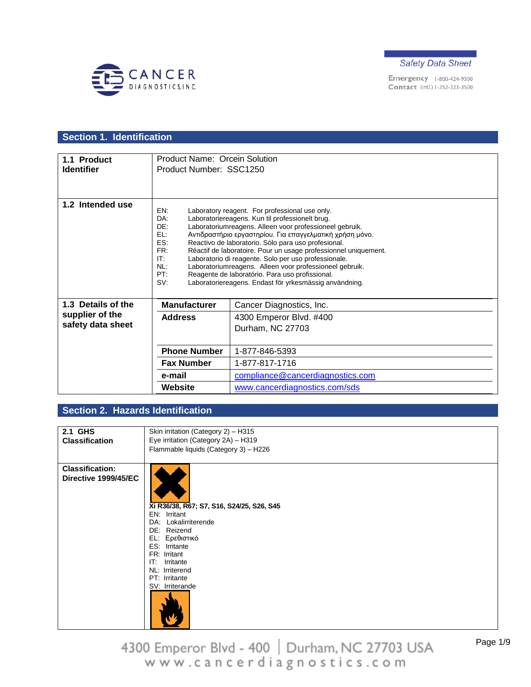



# **Section 1. Identification**

| 1.1 Product        | <b>Product Name: Orcein Solution</b> |                                                                                                                 |
|--------------------|--------------------------------------|-----------------------------------------------------------------------------------------------------------------|
| <b>Identifier</b>  | Product Number: SSC1250              |                                                                                                                 |
|                    |                                      |                                                                                                                 |
|                    |                                      |                                                                                                                 |
|                    |                                      |                                                                                                                 |
| 1.2 Intended use   | EN:                                  | Laboratory reagent. For professional use only.                                                                  |
|                    | DA:                                  | Laboratoriereagens. Kun til professionelt brug.                                                                 |
|                    | DE:                                  | Laboratoriumreagens. Alleen voor professioneel gebruik.                                                         |
|                    | F1:                                  | Αντιδραστήριο εργαστηρίου. Για επαγγελματική χρήση μόνο.                                                        |
|                    | ES:                                  | Reactivo de laboratorio. Sólo para uso profesional.                                                             |
|                    | FR:                                  | Réactif de laboratoire. Pour un usage professionnel uniquement.                                                 |
|                    | IT:<br>NL:                           | Laboratorio di reagente. Solo per uso professionale.<br>Laboratoriumreagens. Alleen voor professioneel gebruik. |
|                    | PT:                                  | Reagente de laboratório. Para uso profissional.                                                                 |
|                    | SV:                                  | Laboratoriereagens. Endast för yrkesmässig användning.                                                          |
|                    |                                      |                                                                                                                 |
| 1.3 Details of the | <b>Manufacturer</b>                  | Cancer Diagnostics, Inc.                                                                                        |
| supplier of the    | <b>Address</b>                       | 4300 Emperor Blvd. #400                                                                                         |
| safety data sheet  |                                      | Durham, NC 27703                                                                                                |
|                    |                                      |                                                                                                                 |
|                    | <b>Phone Number</b>                  | 1-877-846-5393                                                                                                  |
|                    | <b>Fax Number</b>                    | 1-877-817-1716                                                                                                  |
|                    |                                      |                                                                                                                 |
|                    | e-mail                               | compliance@cancerdiagnostics.com                                                                                |
|                    | Website                              | www.cancerdiagnostics.com/sds                                                                                   |

### **Section 2. Hazards Identification**

| 2.1 GHS                | Skin irritation (Category 2) - H315       |
|------------------------|-------------------------------------------|
| <b>Classification</b>  | Eye irritation (Category 2A) - H319       |
|                        |                                           |
|                        | Flammable liquids (Category 3) - H226     |
|                        |                                           |
| <b>Classification:</b> |                                           |
| Directive 1999/45/EC   |                                           |
|                        |                                           |
|                        |                                           |
|                        |                                           |
|                        | Xi R36/38, R67; S7, S16, S24/25, S26, S45 |
|                        | EN: Irritant                              |
|                        | DA: Lokalirriterende                      |
|                        | DE: Reizend                               |
|                        | EL: Ερεθιστικό                            |
|                        | ES: Irritante                             |
|                        |                                           |
|                        | FR: Irritant                              |
|                        | IT:<br>Irritante                          |
|                        | NL: Irriterend                            |
|                        | PT: Irritante                             |
|                        | SV: Irriterande                           |
|                        |                                           |
|                        |                                           |
|                        |                                           |
|                        |                                           |
|                        |                                           |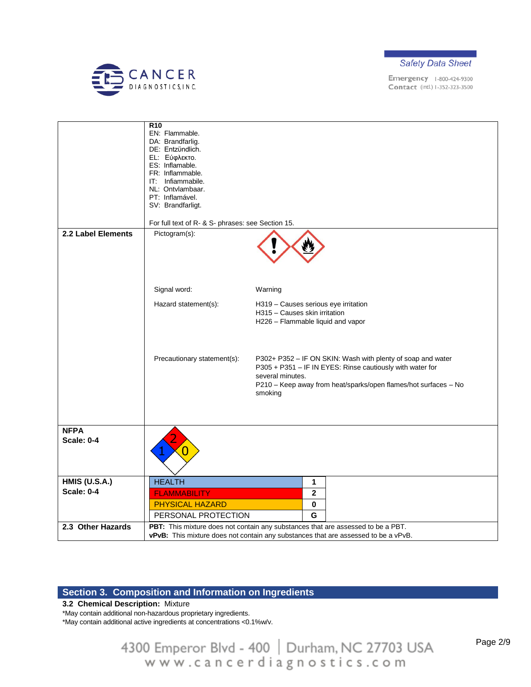



|                      | R <sub>10</sub><br>EN: Flammable.                 |                                                                                           |
|----------------------|---------------------------------------------------|-------------------------------------------------------------------------------------------|
|                      | DA: Brandfarlig.                                  |                                                                                           |
|                      | DE: Entzündlich.                                  |                                                                                           |
|                      | EL: Εύφλεκτο.                                     |                                                                                           |
|                      | ES: Inflamable.                                   |                                                                                           |
|                      | FR: Inflammable.                                  |                                                                                           |
|                      | IT: Infiammabile.                                 |                                                                                           |
|                      | NL: Ontvlambaar.                                  |                                                                                           |
|                      | PT: Inflamável.                                   |                                                                                           |
|                      | SV: Brandfarligt.                                 |                                                                                           |
|                      |                                                   |                                                                                           |
|                      | For full text of R- & S- phrases: see Section 15. |                                                                                           |
| 2.2 Label Elements   | Pictogram(s):                                     |                                                                                           |
|                      |                                                   |                                                                                           |
|                      |                                                   |                                                                                           |
|                      |                                                   |                                                                                           |
|                      |                                                   |                                                                                           |
|                      |                                                   |                                                                                           |
|                      | Signal word:                                      | Warning                                                                                   |
|                      |                                                   |                                                                                           |
|                      | Hazard statement(s):                              | H319 - Causes serious eye irritation                                                      |
|                      |                                                   | H315 - Causes skin irritation                                                             |
|                      |                                                   | H226 - Flammable liquid and vapor                                                         |
|                      |                                                   |                                                                                           |
|                      |                                                   |                                                                                           |
|                      |                                                   |                                                                                           |
|                      | Precautionary statement(s):                       | P302+ P352 - IF ON SKIN: Wash with plenty of soap and water                               |
|                      |                                                   | P305 + P351 - IF IN EYES: Rinse cautiously with water for                                 |
|                      |                                                   |                                                                                           |
|                      |                                                   | several minutes.                                                                          |
|                      |                                                   | P210 - Keep away from heat/sparks/open flames/hot surfaces - No                           |
|                      |                                                   | smoking                                                                                   |
|                      |                                                   |                                                                                           |
|                      |                                                   |                                                                                           |
|                      |                                                   |                                                                                           |
| <b>NFPA</b>          |                                                   |                                                                                           |
| <b>Scale: 0-4</b>    |                                                   |                                                                                           |
|                      |                                                   |                                                                                           |
|                      |                                                   |                                                                                           |
|                      |                                                   |                                                                                           |
|                      |                                                   |                                                                                           |
| <b>HMIS (U.S.A.)</b> | <b>HEALTH</b>                                     | 1                                                                                         |
| <b>Scale: 0-4</b>    | <b>FLAMMABILITY</b>                               | $\overline{\mathbf{2}}$                                                                   |
|                      |                                                   |                                                                                           |
|                      | <b>PHYSICAL HAZARD</b>                            | $\bf{0}$                                                                                  |
|                      | PERSONAL PROTECTION                               | G                                                                                         |
| 2.3 Other Hazards    |                                                   | PBT: This mixture does not contain any substances that are assessed to be a PBT.          |
|                      |                                                   | <b>vPvB:</b> This mixture does not contain any substances that are assessed to be a vPvB. |
|                      |                                                   |                                                                                           |

## **Section 3. Composition and Information on Ingredients**

#### **3.2 Chemical Description:** Mixture

\*May contain additional non-hazardous proprietary ingredients.

\*May contain additional active ingredients at concentrations <0.1%w/v.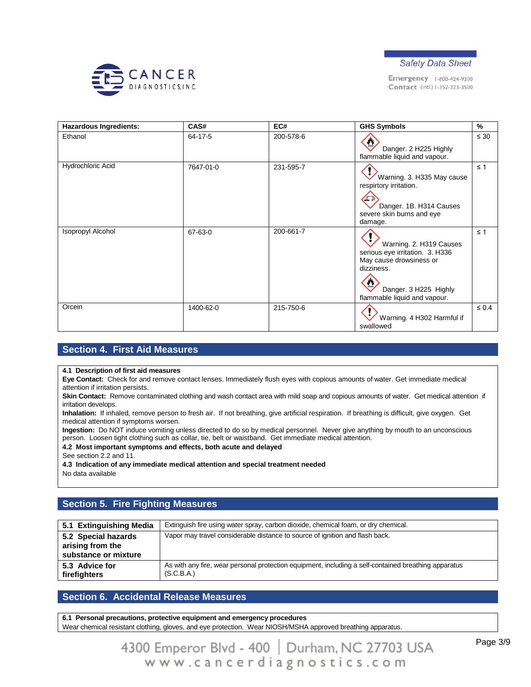



| Hazardous Ingredients: | CAS#          | EC#       | <b>GHS Symbols</b>                                                                                                                                           | %          |
|------------------------|---------------|-----------|--------------------------------------------------------------------------------------------------------------------------------------------------------------|------------|
| Ethanol                | $64 - 17 - 5$ | 200-578-6 | Danger. 2 H225 Highly<br>flammable liquid and vapour.                                                                                                        | $\leq 30$  |
| Hydrochloric Acid      | 7647-01-0     | 231-595-7 | Warning. 3. H335 May cause<br>respirtory irritation.<br>Danger. 1B. H314 Causes<br>severe skin burns and eye<br>damage.                                      | $\leq 1$   |
| Isopropyl Alcohol      | 67-63-0       | 200-661-7 | Warning. 2. H319 Causes<br>serious eye irritation. 3. H336<br>May cause drowsiness or<br>dizziness.<br>Danger. 3 H225 Highly<br>flammable liquid and vapour. | $\leq 1$   |
| Orcein                 | 1400-62-0     | 215-750-6 | Warning. 4 H302 Harmful if<br>swallowed                                                                                                                      | $\leq 0.4$ |

### **Section 4. First Aid Measures**

**4.1 Description of first aid measures**

**Eye Contact:** Check for and remove contact lenses. Immediately flush eyes with copious amounts of water. Get immediate medical attention if irritation persists.

Skin Contact: Remove contaminated clothing and wash contact area with mild soap and copious amounts of water. Get medical attention if irritation develops.

**Inhalation:** If inhaled, remove person to fresh air. If not breathing, give artificial respiration. If breathing is difficult, give oxygen. Get medical attention if symptoms worsen.

**Ingestion:** Do NOT induce vomiting unless directed to do so by medical personnel. Never give anything by mouth to an unconscious person. Loosen tight clothing such as collar, tie, belt or waistband. Get immediate medical attention.

**4.2 Most important symptoms and effects, both acute and delayed**

See section 2.2 and 11.

**4.3 Indication of any immediate medical attention and special treatment needed**

No data available

### **Section 5. Fire Fighting Measures**

| 5.1 Extinguishing Media                                         | Extinguish fire using water spray, carbon dioxide, chemical foam, or dry chemical.                                 |
|-----------------------------------------------------------------|--------------------------------------------------------------------------------------------------------------------|
| 5.2 Special hazards<br>arising from the<br>substance or mixture | Vapor may travel considerable distance to source of ignition and flash back.                                       |
| 5.3 Advice for<br>firefighters                                  | As with any fire, wear personal protection equipment, including a self-contained breathing apparatus<br>(S.C.B.A.) |

### **Section 6. Accidental Release Measures**

**6.1 Personal precautions, protective equipment and emergency procedures** Wear chemical resistant clothing, gloves, and eye protection. Wear NIOSH/MSHA approved breathing apparatus.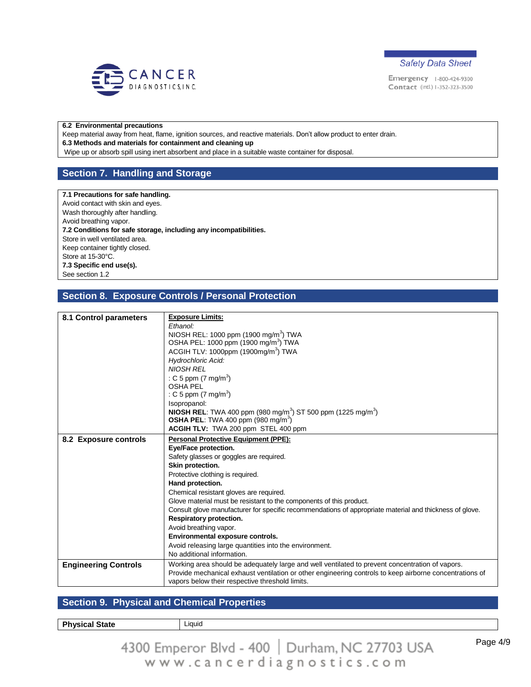



#### **6.2 Environmental precautions**

Keep material away from heat, flame, ignition sources, and reactive materials. Don't allow product to enter drain. **6.3 Methods and materials for containment and cleaning up**

Wipe up or absorb spill using inert absorbent and place in a suitable waste container for disposal.

### **Section 7. Handling and Storage**

#### **7.1 Precautions for safe handling.**

Avoid contact with skin and eyes. Wash thoroughly after handling. Avoid breathing vapor. **7.2 Conditions for safe storage, including any incompatibilities.** Store in well ventilated area. Keep container tightly closed. Store at 15-30°C. **7.3 Specific end use(s).** See section 1.2

#### **Section 8. Exposure Controls / Personal Protection**

| 8.1 Control parameters      | <b>Exposure Limits:</b>                                                                                 |  |  |
|-----------------------------|---------------------------------------------------------------------------------------------------------|--|--|
|                             | Fthanol:                                                                                                |  |  |
|                             | NIOSH REL: 1000 ppm (1900 mg/m <sup>3</sup> ) TWA                                                       |  |  |
|                             | OSHA PEL: 1000 ppm (1900 mg/m <sup>3</sup> ) TWA<br>ACGIH TLV: 1000ppm (1900mg/m <sup>3</sup> ) TWA     |  |  |
|                             | <b>Hydrochloric Acid:</b>                                                                               |  |  |
|                             | <b>NIOSH REL</b>                                                                                        |  |  |
|                             |                                                                                                         |  |  |
|                             | : C 5 ppm $(7 \text{ mg/m}^3)$<br><b>OSHA PEL</b>                                                       |  |  |
|                             |                                                                                                         |  |  |
|                             | : C 5 ppm $(7 \text{ mg/m}^3)$                                                                          |  |  |
|                             | Isopropanol:                                                                                            |  |  |
|                             | <b>NIOSH REL:</b> TWA 400 ppm (980 mg/m <sup>3</sup> ) ST 500 ppm (1225 mg/m <sup>3</sup> )             |  |  |
|                             | <b>OSHA PEL:</b> TWA 400 ppm $(980 \text{ mg/m}^3)$                                                     |  |  |
|                             | ACGIH TLV: TWA 200 ppm STEL 400 ppm                                                                     |  |  |
|                             |                                                                                                         |  |  |
| 8.2 Exposure controls       | <b>Personal Protective Equipment (PPE):</b>                                                             |  |  |
|                             | Eye/Face protection.                                                                                    |  |  |
|                             | Safety glasses or goggles are required.                                                                 |  |  |
|                             | Skin protection.                                                                                        |  |  |
|                             | Protective clothing is required.                                                                        |  |  |
|                             | Hand protection.                                                                                        |  |  |
|                             | Chemical resistant gloves are required.                                                                 |  |  |
|                             | Glove material must be resistant to the components of this product.                                     |  |  |
|                             | Consult glove manufacturer for specific recommendations of appropriate material and thickness of glove. |  |  |
|                             | Respiratory protection.                                                                                 |  |  |
|                             | Avoid breathing vapor.                                                                                  |  |  |
|                             | Environmental exposure controls.                                                                        |  |  |
|                             | Avoid releasing large quantities into the environment.                                                  |  |  |
|                             | No additional information.                                                                              |  |  |
| <b>Engineering Controls</b> | Working area should be adequately large and well ventilated to prevent concentration of vapors.         |  |  |
|                             | Provide mechanical exhaust ventilation or other engineering controls to keep airborne concentrations of |  |  |
|                             | vapors below their respective threshold limits.                                                         |  |  |
|                             |                                                                                                         |  |  |

#### **Section 9. Physical and Chemical Properties**

**Physical State Liquid**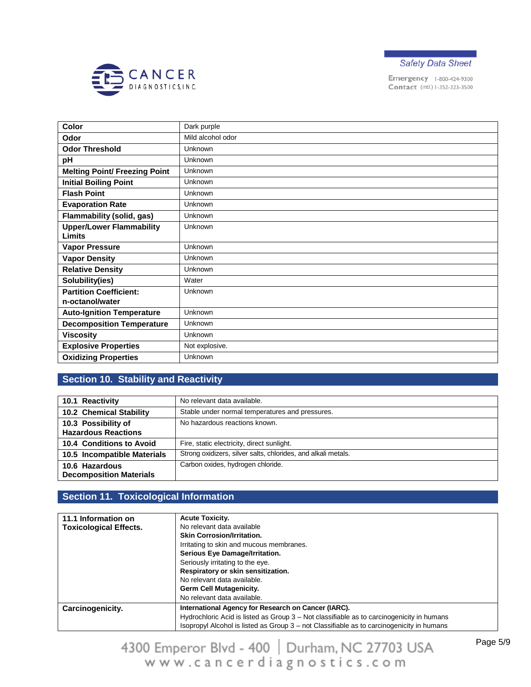



| Color                                            | Dark purple       |
|--------------------------------------------------|-------------------|
| Odor                                             | Mild alcohol odor |
| <b>Odor Threshold</b>                            | Unknown           |
| pH                                               | Unknown           |
| <b>Melting Point/ Freezing Point</b>             | Unknown           |
| <b>Initial Boiling Point</b>                     | Unknown           |
| <b>Flash Point</b>                               | Unknown           |
| <b>Evaporation Rate</b>                          | Unknown           |
| <b>Flammability (solid, gas)</b>                 | Unknown           |
| <b>Upper/Lower Flammability</b><br>Limits        | Unknown           |
| <b>Vapor Pressure</b>                            | Unknown           |
| <b>Vapor Density</b>                             | Unknown           |
| <b>Relative Density</b>                          | Unknown           |
| Solubility(ies)                                  | Water             |
| <b>Partition Coefficient:</b><br>n-octanol/water | Unknown           |
| <b>Auto-Ignition Temperature</b>                 | Unknown           |
| <b>Decomposition Temperature</b>                 | Unknown           |
| <b>Viscosity</b>                                 | Unknown           |
| <b>Explosive Properties</b>                      | Not explosive.    |
| <b>Oxidizing Properties</b>                      | Unknown           |

# **Section 10. Stability and Reactivity**

| 10.1 Reactivity                                  | No relevant data available.                                   |  |
|--------------------------------------------------|---------------------------------------------------------------|--|
| <b>10.2 Chemical Stability</b>                   | Stable under normal temperatures and pressures.               |  |
| 10.3 Possibility of                              | No hazardous reactions known.                                 |  |
| <b>Hazardous Reactions</b>                       |                                                               |  |
| 10.4 Conditions to Avoid                         | Fire, static electricity, direct sunlight.                    |  |
| 10.5 Incompatible Materials                      | Strong oxidizers, silver salts, chlorides, and alkali metals. |  |
| 10.6 Hazardous<br><b>Decomposition Materials</b> | Carbon oxides, hydrogen chloride.                             |  |

## **Section 11. Toxicological Information**

| 11.1 Information on           | <b>Acute Toxicity.</b>                                                                    |
|-------------------------------|-------------------------------------------------------------------------------------------|
| <b>Toxicological Effects.</b> | No relevant data available                                                                |
|                               | <b>Skin Corrosion/Irritation.</b>                                                         |
|                               | Irritating to skin and mucous membranes.                                                  |
|                               | Serious Eye Damage/Irritation.                                                            |
|                               | Seriously irritating to the eye.                                                          |
|                               | Respiratory or skin sensitization.                                                        |
|                               | No relevant data available.                                                               |
|                               | Germ Cell Mutagenicity.                                                                   |
|                               | No relevant data available.                                                               |
| Carcinogenicity.              | International Agency for Research on Cancer (IARC).                                       |
|                               | Hydrochloric Acid is listed as Group 3 – Not classifiable as to carcinogenicity in humans |
|                               | Isopropyl Alcohol is listed as Group 3 – not Classifiable as to carcinogenicity in humans |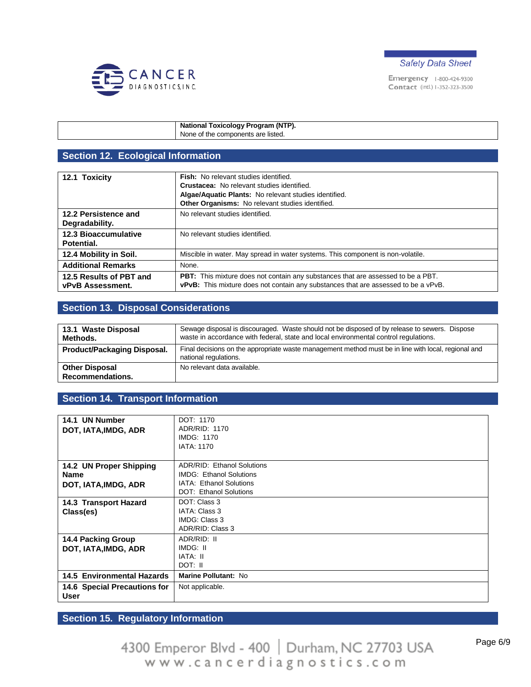



| National Toxicology Program (NTP). |
|------------------------------------|
| None of the components are listed. |

## **Section 12. Ecological Information**

| 12.1 Toxicity                                      | Fish: No relevant studies identified.<br><b>Crustacea:</b> No relevant studies identified.<br>Algae/Aquatic Plants: No relevant studies identified.<br>Other Organisms: No relevant studies identified. |
|----------------------------------------------------|---------------------------------------------------------------------------------------------------------------------------------------------------------------------------------------------------------|
| 12.2 Persistence and<br>Degradability.             | No relevant studies identified.                                                                                                                                                                         |
| <b>12.3 Bioaccumulative</b><br>Potential.          | No relevant studies identified.                                                                                                                                                                         |
| 12.4 Mobility in Soil.                             | Miscible in water. May spread in water systems. This component is non-volatile.                                                                                                                         |
| <b>Additional Remarks</b>                          | None.                                                                                                                                                                                                   |
| 12.5 Results of PBT and<br><b>vPvB Assessment.</b> | <b>PBT:</b> This mixture does not contain any substances that are assessed to be a PBT.<br>vPvB: This mixture does not contain any substances that are assessed to be a vPvB.                           |

#### **Section 13. Disposal Considerations**

| 13.1 Waste Disposal<br>Methods.           | Sewage disposal is discouraged. Waste should not be disposed of by release to sewers. Dispose<br>waste in accordance with federal, state and local environmental control regulations. |  |  |
|-------------------------------------------|---------------------------------------------------------------------------------------------------------------------------------------------------------------------------------------|--|--|
| <b>Product/Packaging Disposal.</b>        | Final decisions on the appropriate waste management method must be in line with local, regional and<br>national regulations.                                                          |  |  |
| <b>Other Disposal</b><br>Recommendations. | No relevant data available.                                                                                                                                                           |  |  |

### **Section 14. Transport Information**

| 14.1 UN Number<br>DOT, IATA, IMDG, ADR                                           | DOT: 1170<br>ADR/RID: 1170<br><b>IMDG: 1170</b><br><b>IATA: 1170</b>                                                     |  |
|----------------------------------------------------------------------------------|--------------------------------------------------------------------------------------------------------------------------|--|
| 14.2 UN Proper Shipping<br><b>Name</b><br>DOT, IATA, IMDG, ADR                   | ADR/RID: Ethanol Solutions<br><b>IMDG: Ethanol Solutions</b><br>IATA: Ethanol Solutions<br><b>DOT: Ethanol Solutions</b> |  |
| 14.3 Transport Hazard<br>Class(es)                                               | DOT: Class 3<br>IATA: Class 3<br>IMDG: Class 3<br>ADR/RID: Class 3                                                       |  |
| <b>14.4 Packing Group</b><br>DOT, IATA, IMDG, ADR                                | ADR/RID: II<br>IMDG: II<br>IATA: II<br>DOT: II                                                                           |  |
| <b>14.5 Environmental Hazards</b><br>14.6 Special Precautions for<br><b>User</b> | Marine Pollutant: No<br>Not applicable.                                                                                  |  |

# **Section 15. Regulatory Information**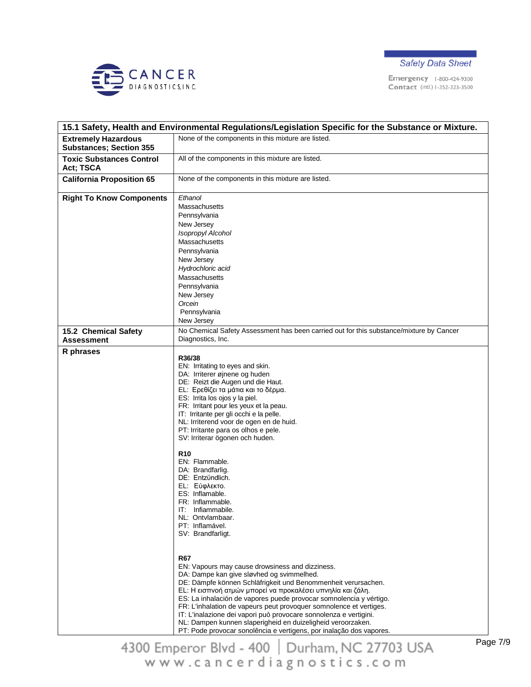



|                                                              | 15.1 Safety, Health and Environmental Regulations/Legislation Specific for the Substance or Mixture.                                                                                                                                                                                                                                                                                                                                                                                                                                                                                                                                                                                                                                                                                                                                                                                                                                                                                                                                                                                                                                                                                                                     |  |
|--------------------------------------------------------------|--------------------------------------------------------------------------------------------------------------------------------------------------------------------------------------------------------------------------------------------------------------------------------------------------------------------------------------------------------------------------------------------------------------------------------------------------------------------------------------------------------------------------------------------------------------------------------------------------------------------------------------------------------------------------------------------------------------------------------------------------------------------------------------------------------------------------------------------------------------------------------------------------------------------------------------------------------------------------------------------------------------------------------------------------------------------------------------------------------------------------------------------------------------------------------------------------------------------------|--|
| <b>Extremely Hazardous</b><br><b>Substances; Section 355</b> | None of the components in this mixture are listed.                                                                                                                                                                                                                                                                                                                                                                                                                                                                                                                                                                                                                                                                                                                                                                                                                                                                                                                                                                                                                                                                                                                                                                       |  |
| <b>Toxic Substances Control</b><br>Act; TSCA                 | All of the components in this mixture are listed.                                                                                                                                                                                                                                                                                                                                                                                                                                                                                                                                                                                                                                                                                                                                                                                                                                                                                                                                                                                                                                                                                                                                                                        |  |
| <b>California Proposition 65</b>                             | None of the components in this mixture are listed.                                                                                                                                                                                                                                                                                                                                                                                                                                                                                                                                                                                                                                                                                                                                                                                                                                                                                                                                                                                                                                                                                                                                                                       |  |
| <b>Right To Know Components</b>                              | Ethanol<br>Massachusetts<br>Pennsylvania<br>New Jersey<br>Isopropyl Alcohol<br>Massachusetts<br>Pennsylvania<br>New Jersey<br>Hydrochloric acid<br>Massachusetts<br>Pennsylvania<br>New Jersey<br>Orcein<br>Pennsylvania                                                                                                                                                                                                                                                                                                                                                                                                                                                                                                                                                                                                                                                                                                                                                                                                                                                                                                                                                                                                 |  |
|                                                              | New Jersey<br>No Chemical Safety Assessment has been carried out for this substance/mixture by Cancer                                                                                                                                                                                                                                                                                                                                                                                                                                                                                                                                                                                                                                                                                                                                                                                                                                                                                                                                                                                                                                                                                                                    |  |
| 15.2 Chemical Safety<br><b>Assessment</b>                    | Diagnostics, Inc.                                                                                                                                                                                                                                                                                                                                                                                                                                                                                                                                                                                                                                                                                                                                                                                                                                                                                                                                                                                                                                                                                                                                                                                                        |  |
| R phrases                                                    | R36/38<br>EN: Irritating to eyes and skin.<br>DA: Irriterer øjnene og huden<br>DE: Reizt die Augen und die Haut.<br>EL: Ερεθίζει τα μάτια και το δέρμα.<br>ES: Irrita los ojos y la piel.<br>FR: Irritant pour les yeux et la peau.<br>IT: Irritante per gli occhi e la pelle.<br>NL: Irriterend voor de ogen en de huid.<br>PT: Irritante para os olhos e pele.<br>SV: Irriterar ögonen och huden.<br><b>R10</b><br>EN: Flammable.<br>DA: Brandfarlig.<br>DE: Entzündlich.<br>EL: Εύφλεκτο.<br>ES: Inflamable.<br>FR: Inflammable.<br>IT: Infiammabile.<br>NL: Ontvlambaar.<br>PT: Inflamável.<br>SV: Brandfarligt.<br><b>R67</b><br>EN: Vapours may cause drowsiness and dizziness.<br>DA: Dampe kan give sløvhed og svimmelhed.<br>DE: Dämpfe können Schläfrigkeit und Benommenheit verursachen.<br>EL: Η εισπνοή ατμών μπορεί να προκαλέσει υπνηλία και ζάλη.<br>ES: La inhalación de vapores puede provocar somnolencia y vértigo.<br>FR: L'inhalation de vapeurs peut provoquer somnolence et vertiges.<br>IT: L'inalazione dei vapori può provocare sonnolenza e vertigini.<br>NL: Dampen kunnen slaperigheid en duizeligheid veroorzaken.<br>PT: Pode provocar sonolência e vertigens, por inalação dos vapores. |  |

Page 7/9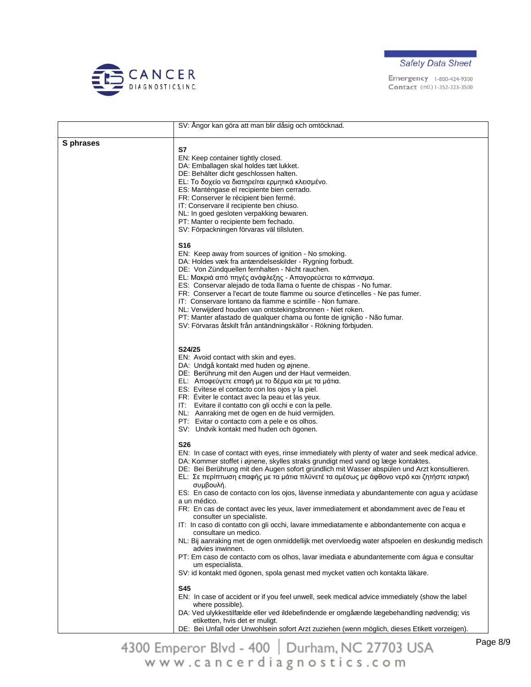



|           | SV: Angor kan göra att man blir dåsig och omtöcknad.                                                                                                                                                                                                                                                                                                                                                                                                                                                                                                                                                                                                                                                                                                                                                                                                                                                                                                                                                                                                                                                  |
|-----------|-------------------------------------------------------------------------------------------------------------------------------------------------------------------------------------------------------------------------------------------------------------------------------------------------------------------------------------------------------------------------------------------------------------------------------------------------------------------------------------------------------------------------------------------------------------------------------------------------------------------------------------------------------------------------------------------------------------------------------------------------------------------------------------------------------------------------------------------------------------------------------------------------------------------------------------------------------------------------------------------------------------------------------------------------------------------------------------------------------|
|           |                                                                                                                                                                                                                                                                                                                                                                                                                                                                                                                                                                                                                                                                                                                                                                                                                                                                                                                                                                                                                                                                                                       |
| S phrases | S7<br>EN: Keep container tightly closed.<br>DA: Emballagen skal holdes tæt lukket.<br>DE: Behälter dicht geschlossen halten.<br>EL: Το δοχείο να διατηρείται ερμητικά κλεισμένο.<br>ES: Manténgase el recipiente bien cerrado.<br>FR: Conserver le récipient bien fermé.<br>IT: Conservare il recipiente ben chiuso.<br>NL: In goed gesloten verpakking bewaren.<br>PT: Manter o recipiente bem fechado.<br>SV: Förpackningen förvaras väl tillsluten.                                                                                                                                                                                                                                                                                                                                                                                                                                                                                                                                                                                                                                                |
|           | <b>S16</b><br>EN: Keep away from sources of ignition - No smoking.<br>DA: Holdes væk fra antændelseskilder - Rygning forbudt.<br>DE: Von Zündquellen fernhalten - Nicht rauchen.<br>EL: Μακριά από πηγές ανάφλεξης - Απαγορεύεται το κάπνισμα.<br>ES: Conservar alejado de toda llama o fuente de chispas - No fumar.<br>FR: Conserver a l'ecart de toute flamme ou source d'etincelles - Ne pas fumer.<br>IT: Conservare lontano da fiamme e scintille - Non fumare.<br>NL: Verwijderd houden van ontstekingsbronnen - Niet roken.<br>PT: Manter afastado de qualquer chama ou fonte de ignição - Não fumar.<br>SV: Förvaras åtskilt från antändningskällor - Rökning förbjuden.                                                                                                                                                                                                                                                                                                                                                                                                                     |
|           | S24/25<br>EN: Avoid contact with skin and eyes.<br>DA: Undgå kontakt med huden og øjnene.<br>DE: Berührung mit den Augen und der Haut vermeiden.<br>EL: Αποφεύγετε επαφή με το δέρμα και με τα μάτια.<br>ES: Evítese el contacto con los ojos y la piel.<br>FR: Eviter le contact avec la peau et las yeux.<br>IT: Evitare il contatto con gli occhi e con la pelle.<br>NL: Aanraking met de ogen en de huid vermijden.<br>PT: Evitar o contacto com a pele e os olhos.<br>SV: Undvik kontakt med huden och ögonen.                                                                                                                                                                                                                                                                                                                                                                                                                                                                                                                                                                                   |
|           | <b>S26</b><br>EN: In case of contact with eyes, rinse immediately with plenty of water and seek medical advice.<br>DA: Kommer stoffet i øjnene, skylles straks grundigt med vand og læge kontaktes.<br>DE: Bei Berührung mit den Augen sofort gründlich mit Wasser abspülen und Arzt konsultieren.<br>ΕL: Σε περίπτωση επαφής με τα μάτια πλύνετέ τα αμέσως με άφθονο νερό και ζητήστε ιατρική<br>συμβουλή.<br>ES: En caso de contacto con los ojos, lávense inmediata y abundantemente con agua y acúdase<br>a un médico.<br>FR: En cas de contact avec les yeux, laver immediatement et abondamment avec de l'eau et<br>consulter un specialiste.<br>IT: In caso di contatto con gli occhi, lavare immediatamente e abbondantemente con acqua e<br>consultare un medico.<br>NL: Bij aanraking met de ogen onmiddellijk met overvloedig water afspoelen en deskundig medisch<br>advies inwinnen.<br>PT: Em caso de contacto com os olhos, lavar imediata e abundantemente com água e consultar<br>um especialista.<br>SV: id kontakt med ögonen, spola genast med mycket vatten och kontakta läkare. |
|           | <b>S45</b><br>EN: In case of accident or if you feel unwell, seek medical advice immediately (show the label<br>where possible).<br>DA: Ved ulykkestilfælde eller ved ildebefindende er omgåænde lægebehandling nødvendig; vis<br>etiketten, hvis det er muligt.<br>DE: Bei Unfall oder Unwohlsein sofort Arzt zuziehen (wenn möglich, dieses Etikett vorzeigen).                                                                                                                                                                                                                                                                                                                                                                                                                                                                                                                                                                                                                                                                                                                                     |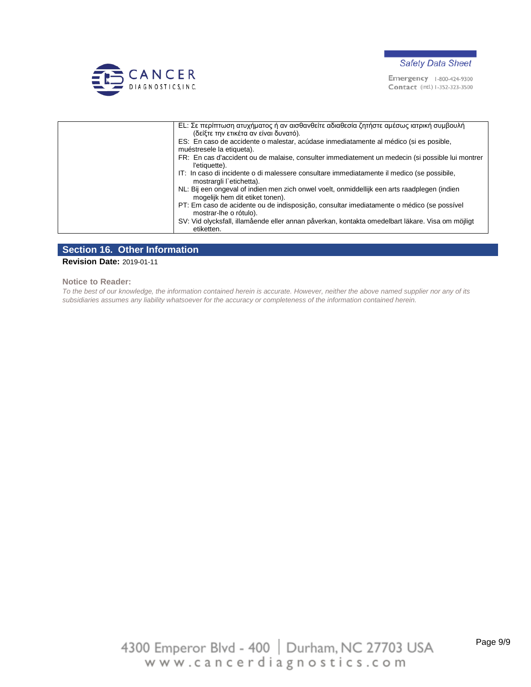



| ΕL: Σε περίπτωση ατυχήματος ή αν αισθανθείτε αδιαθεσία ζητήστε αμέσως ιατρική συμβουλή<br>(δείξτε την ετικέτα αν είναι δυνατό). |
|---------------------------------------------------------------------------------------------------------------------------------|
| ES: En caso de accidente o malestar, acúdase inmediatamente al médico (si es posible,<br>muéstresele la etiqueta).              |
| FR: En cas d'accident ou de malaise, consulter immediatement un medecin (si possible lui montrer<br>l'etiquette).               |
| IT: In caso di incidente o di malessere consultare immediatamente il medico (se possibile,<br>mostrargli l'etichetta).          |
| NL: Bij een ongeval of indien men zich onwel voelt, onmiddellijk een arts raadplegen (indien<br>mogelijk hem dit etiket tonen). |
| PT: Em caso de acidente ou de indisposição, consultar imediatamente o médico (se possível<br>mostrar-lhe o rótulo).             |
| SV: Vid olycksfall, illamående eller annan påverkan, kontakta omedelbart läkare. Visa om möjligt<br>etiketten.                  |

#### **Section 16. Other Information**

#### **Revision Date:** 2019-01-11

**Notice to Reader:**

*To the best of our knowledge, the information contained herein is accurate. However, neither the above named supplier nor any of its subsidiaries assumes any liability whatsoever for the accuracy or completeness of the information contained herein.*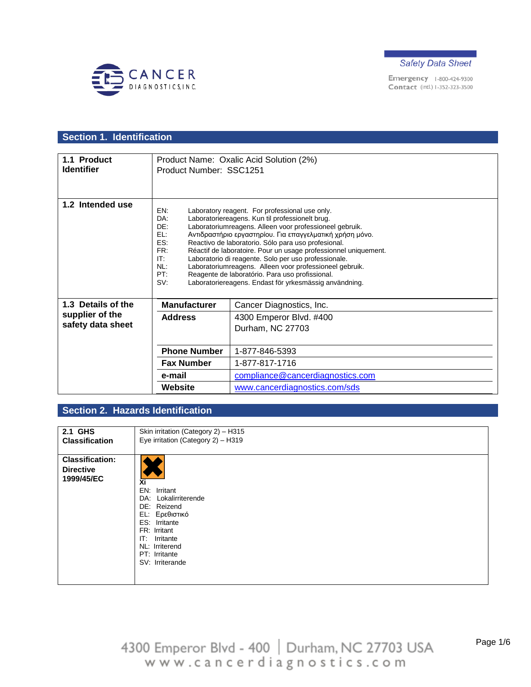



# **Section 1. Identification**

| 1.1 Product<br><b>Identifier</b>                       | Product Number: SSC1251                                            | Product Name: Oxalic Acid Solution (2%)                                                                                                                                                                                                                                                                                                                                                                                                                                                                                                                                            |
|--------------------------------------------------------|--------------------------------------------------------------------|------------------------------------------------------------------------------------------------------------------------------------------------------------------------------------------------------------------------------------------------------------------------------------------------------------------------------------------------------------------------------------------------------------------------------------------------------------------------------------------------------------------------------------------------------------------------------------|
| 1.2 Intended use                                       | EN:<br>DA:<br>DF:<br>EL:<br>ES:<br>FR:<br>IT:<br>NL:<br>PT:<br>SV: | Laboratory reagent. For professional use only.<br>Laboratoriereagens. Kun til professionelt brug.<br>Laboratoriumreagens. Alleen voor professioneel gebruik.<br>Αντιδραστήριο εργαστηρίου. Για επαγγελματική χρήση μόνο.<br>Reactivo de laboratorio. Sólo para uso profesional.<br>Réactif de laboratoire. Pour un usage professionnel uniquement.<br>Laboratorio di reagente. Solo per uso professionale.<br>Laboratoriumreagens. Alleen voor professioneel gebruik.<br>Reagente de laboratório. Para uso profissional.<br>Laboratoriereagens. Endast för yrkesmässig användning. |
| 1.3 Details of the                                     | <b>Manufacturer</b>                                                | Cancer Diagnostics, Inc.                                                                                                                                                                                                                                                                                                                                                                                                                                                                                                                                                           |
| supplier of the<br><b>Address</b><br>safety data sheet |                                                                    | 4300 Emperor Blvd. #400<br>Durham, NC 27703                                                                                                                                                                                                                                                                                                                                                                                                                                                                                                                                        |
|                                                        | <b>Phone Number</b>                                                | 1-877-846-5393                                                                                                                                                                                                                                                                                                                                                                                                                                                                                                                                                                     |
|                                                        | <b>Fax Number</b>                                                  | 1-877-817-1716                                                                                                                                                                                                                                                                                                                                                                                                                                                                                                                                                                     |
|                                                        | e-mail                                                             | compliance@cancerdiagnostics.com                                                                                                                                                                                                                                                                                                                                                                                                                                                                                                                                                   |
|                                                        | Website                                                            | www.cancerdiagnostics.com/sds                                                                                                                                                                                                                                                                                                                                                                                                                                                                                                                                                      |

## **Section 2. Hazards Identification**

| 2.1 GHS                                                  | Skin irritation (Category 2) - H315                                                                                                                                                 |
|----------------------------------------------------------|-------------------------------------------------------------------------------------------------------------------------------------------------------------------------------------|
| <b>Classification</b>                                    | Eye irritation (Category 2) - H319                                                                                                                                                  |
| <b>Classification:</b><br><b>Directive</b><br>1999/45/EC | Xi<br>EN: Irritant<br>DA: Lokalirriterende<br>DE: Reizend<br>EL: Ερεθιστικό<br>ES: Irritante<br>FR: Irritant<br>IT: Irritante<br>NL: Irriterend<br>PT: Irritante<br>SV: Irriterande |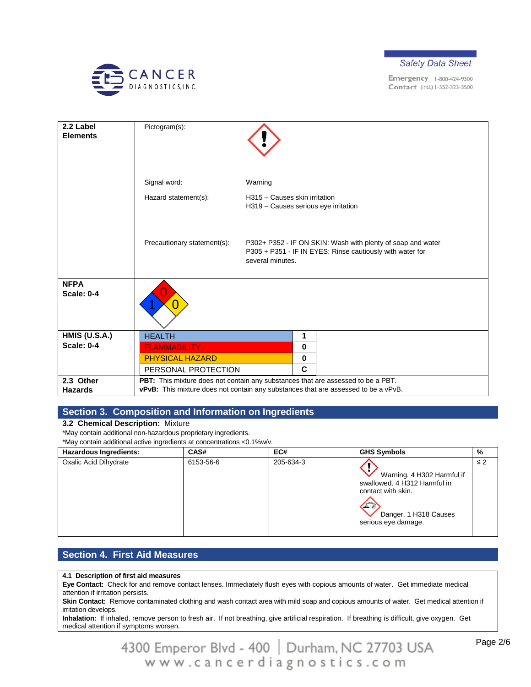



| 2.2 Label<br><b>Elements</b>     | Pictogram(s):                                                                      |                                                                       |                                                                                                                          |
|----------------------------------|------------------------------------------------------------------------------------|-----------------------------------------------------------------------|--------------------------------------------------------------------------------------------------------------------------|
|                                  | Signal word:                                                                       | Warning                                                               |                                                                                                                          |
|                                  | Hazard statement(s):                                                               | H315 - Causes skin irritation<br>H319 - Causes serious eye irritation |                                                                                                                          |
|                                  | Precautionary statement(s):                                                        | several minutes.                                                      | P302+ P352 - IF ON SKIN: Wash with plenty of soap and water<br>P305 + P351 - IF IN EYES: Rinse cautiously with water for |
| <b>NFPA</b><br><b>Scale: 0-4</b> |                                                                                    |                                                                       |                                                                                                                          |
| <b>HMIS (U.S.A.)</b>             | <b>HEALTH</b>                                                                      | 1                                                                     |                                                                                                                          |
| <b>Scale: 0-4</b>                | <b>FLAMMABILITY</b>                                                                | $\bf{0}$                                                              |                                                                                                                          |
|                                  | <b>PHYSICAL HAZARD</b>                                                             | $\bf{0}$                                                              |                                                                                                                          |
|                                  | PERSONAL PROTECTION                                                                | $\mathbf{C}$                                                          |                                                                                                                          |
| 2.3 Other                        | PBT: This mixture does not contain any substances that are assessed to be a PBT.   |                                                                       |                                                                                                                          |
| <b>Hazards</b>                   | vPvB: This mixture does not contain any substances that are assessed to be a vPvB. |                                                                       |                                                                                                                          |

### **Section 3. Composition and Information on Ingredients**

#### **3.2 Chemical Description:** Mixture

\*May contain additional non-hazardous proprietary ingredients.

\*May contain additional active ingredients at concentrations <0.1%w/v.

| <b>Hazardous Ingredients:</b> | CAS#      | EC#       | <b>GHS Symbols</b>                                                                                                                             | %        |
|-------------------------------|-----------|-----------|------------------------------------------------------------------------------------------------------------------------------------------------|----------|
| Oxalic Acid Dihydrate         | 6153-56-6 | 205-634-3 | Warning. 4 H302 Harmful if<br>swallowed, 4 H312 Harmful in<br>contact with skin.<br>$\sqrt{2}$<br>Danger. 1 H318 Causes<br>serious eye damage. | $\leq 2$ |

## **Section 4. First Aid Measures**

**4.1 Description of first aid measures**

**Eye Contact:** Check for and remove contact lenses. Immediately flush eyes with copious amounts of water. Get immediate medical attention if irritation persists.

**Skin Contact:** Remove contaminated clothing and wash contact area with mild soap and copious amounts of water. Get medical attention if irritation develops.

**Inhalation:** If inhaled, remove person to fresh air. If not breathing, give artificial respiration. If breathing is difficult, give oxygen. Get medical attention if symptoms worsen.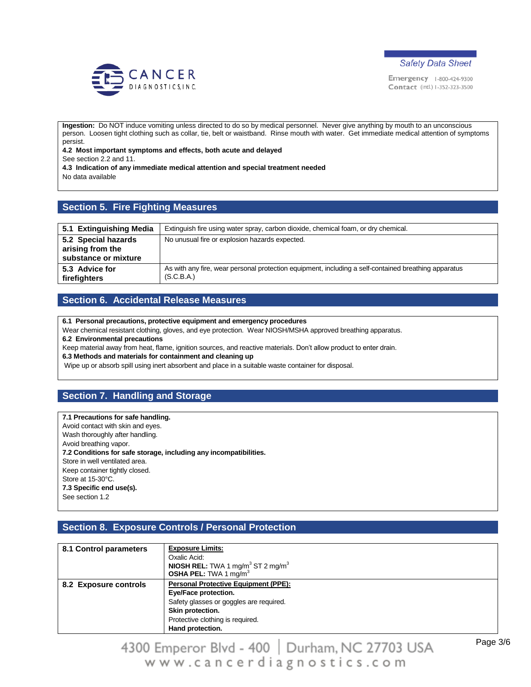



**Ingestion:** Do NOT induce vomiting unless directed to do so by medical personnel. Never give anything by mouth to an unconscious person. Loosen tight clothing such as collar, tie, belt or waistband. Rinse mouth with water. Get immediate medical attention of symptoms persist.

**4.2 Most important symptoms and effects, both acute and delayed**

See section 2.2 and 11.

**4.3 Indication of any immediate medical attention and special treatment needed** No data available

### **Section 5. Fire Fighting Measures**

| 5.1 Extinguishing Media                                         | Extinguish fire using water spray, carbon dioxide, chemical foam, or dry chemical.                                 |
|-----------------------------------------------------------------|--------------------------------------------------------------------------------------------------------------------|
| 5.2 Special hazards<br>arising from the<br>substance or mixture | No unusual fire or explosion hazards expected.                                                                     |
| 5.3 Advice for<br>firefighters                                  | As with any fire, wear personal protection equipment, including a self-contained breathing apparatus<br>(S.C.B.A.) |

### **Section 6. Accidental Release Measures**

**6.1 Personal precautions, protective equipment and emergency procedures**

Wear chemical resistant clothing, gloves, and eye protection. Wear NIOSH/MSHA approved breathing apparatus.

#### **6.2 Environmental precautions**

Keep material away from heat, flame, ignition sources, and reactive materials. Don't allow product to enter drain.

**6.3 Methods and materials for containment and cleaning up**

Wipe up or absorb spill using inert absorbent and place in a suitable waste container for disposal.

### **Section 7. Handling and Storage**

#### **7.1 Precautions for safe handling.**

Avoid contact with skin and eyes. Wash thoroughly after handling. Avoid breathing vapor. **7.2 Conditions for safe storage, including any incompatibilities.** Store in well ventilated area. Keep container tightly closed. Store at 15-30°C. **7.3 Specific end use(s).** See section 1.2

### **Section 8. Exposure Controls / Personal Protection**

| 8.1 Control parameters | <b>Exposure Limits:</b><br>Oxalic Acid:<br><b>NIOSH REL:</b> TWA 1 mg/m <sup>3</sup> ST 2 mg/m <sup>3</sup><br><b>OSHA PEL:</b> TWA 1 mg/m <sup>3</sup>                                    |
|------------------------|--------------------------------------------------------------------------------------------------------------------------------------------------------------------------------------------|
| 8.2 Exposure controls  | <b>Personal Protective Equipment (PPE):</b><br>Eye/Face protection.<br>Safety glasses or goggles are required.<br>Skin protection.<br>Protective clothing is required.<br>Hand protection. |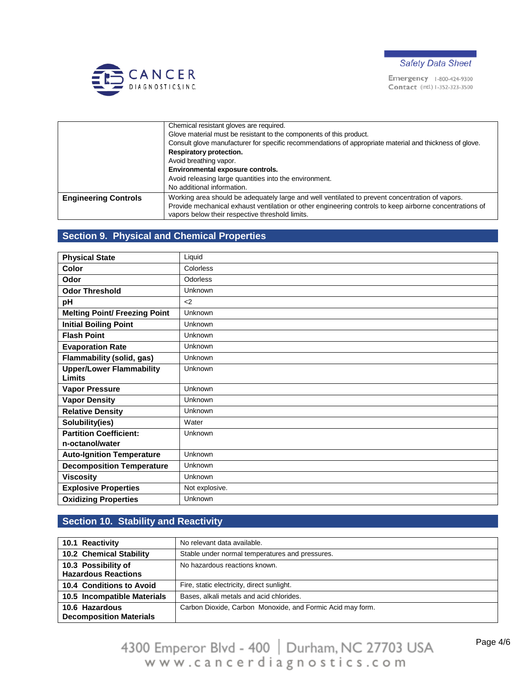



|                             | Chemical resistant gloves are required.                                                                                                                    |
|-----------------------------|------------------------------------------------------------------------------------------------------------------------------------------------------------|
|                             | Glove material must be resistant to the components of this product.                                                                                        |
|                             | Consult glove manufacturer for specific recommendations of appropriate material and thickness of glove.                                                    |
|                             | Respiratory protection.                                                                                                                                    |
|                             | Avoid breathing vapor.                                                                                                                                     |
|                             | Environmental exposure controls.                                                                                                                           |
|                             | Avoid releasing large quantities into the environment.                                                                                                     |
|                             | No additional information.                                                                                                                                 |
| <b>Engineering Controls</b> | Working area should be adequately large and well ventilated to prevent concentration of vapors.                                                            |
|                             | Provide mechanical exhaust ventilation or other engineering controls to keep airborne concentrations of<br>vapors below their respective threshold limits. |

## **Section 9. Physical and Chemical Properties**

| <b>Physical State</b>                            | Liquid          |
|--------------------------------------------------|-----------------|
| <b>Color</b>                                     | Colorless       |
| Odor                                             | <b>Odorless</b> |
| <b>Odor Threshold</b>                            | Unknown         |
| pH                                               | <               |
| <b>Melting Point/ Freezing Point</b>             | Unknown         |
| <b>Initial Boiling Point</b>                     | Unknown         |
| <b>Flash Point</b>                               | Unknown         |
| <b>Evaporation Rate</b>                          | Unknown         |
| Flammability (solid, gas)                        | Unknown         |
| <b>Upper/Lower Flammability</b><br><b>Limits</b> | Unknown         |
| <b>Vapor Pressure</b>                            | Unknown         |
| <b>Vapor Density</b>                             | Unknown         |
| <b>Relative Density</b>                          | Unknown         |
| Solubility(ies)                                  | Water           |
| <b>Partition Coefficient:</b>                    | Unknown         |
| n-octanol/water                                  |                 |
| <b>Auto-Ignition Temperature</b>                 | Unknown         |
| <b>Decomposition Temperature</b>                 | Unknown         |
| <b>Viscosity</b>                                 | Unknown         |
| <b>Explosive Properties</b>                      | Not explosive.  |
| <b>Oxidizing Properties</b>                      | Unknown         |

## **Section 10. Stability and Reactivity**

| 10.1 Reactivity                                   | No relevant data available.                                |
|---------------------------------------------------|------------------------------------------------------------|
| <b>10.2 Chemical Stability</b>                    | Stable under normal temperatures and pressures.            |
| 10.3 Possibility of<br><b>Hazardous Reactions</b> | No hazardous reactions known.                              |
| 10.4 Conditions to Avoid                          | Fire, static electricity, direct sunlight.                 |
| 10.5 Incompatible Materials                       | Bases, alkali metals and acid chlorides.                   |
| 10.6 Hazardous<br><b>Decomposition Materials</b>  | Carbon Dioxide, Carbon Monoxide, and Formic Acid may form. |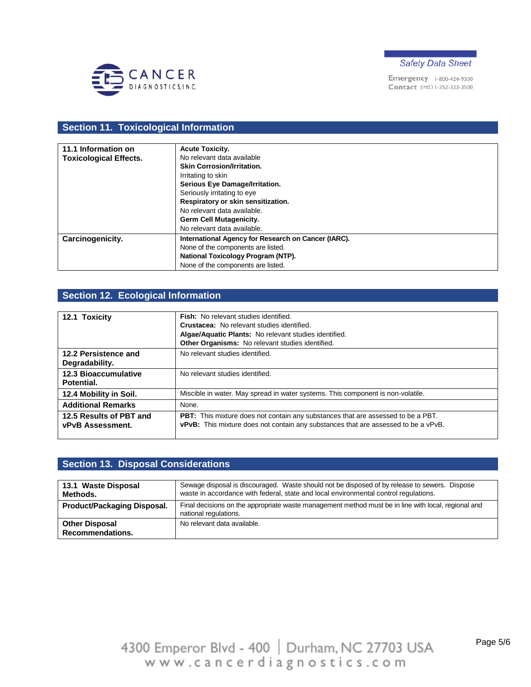



## **Section 11. Toxicological Information**

| 11.1 Information on           | <b>Acute Toxicity.</b>                              |
|-------------------------------|-----------------------------------------------------|
| <b>Toxicological Effects.</b> | No relevant data available                          |
|                               | <b>Skin Corrosion/Irritation.</b>                   |
|                               | Irritating to skin                                  |
|                               | Serious Eye Damage/Irritation.                      |
|                               | Seriously irritating to eye                         |
|                               | Respiratory or skin sensitization.                  |
|                               | No relevant data available.                         |
|                               | <b>Germ Cell Mutagenicity.</b>                      |
|                               | No relevant data available.                         |
| Carcinogenicity.              | International Agency for Research on Cancer (IARC). |
|                               | None of the components are listed.                  |
|                               | National Toxicology Program (NTP).                  |
|                               | None of the components are listed.                  |

## **Section 12. Ecological Information**

| 12.1 Toxicity                                      | <b>Fish:</b> No relevant studies identified.<br><b>Crustacea:</b> No relevant studies identified.<br>Algae/Aquatic Plants: No relevant studies identified.<br>Other Organisms: No relevant studies identified. |
|----------------------------------------------------|----------------------------------------------------------------------------------------------------------------------------------------------------------------------------------------------------------------|
| 12.2 Persistence and<br>Degradability.             | No relevant studies identified.                                                                                                                                                                                |
| <b>12.3 Bioaccumulative</b><br>Potential.          | No relevant studies identified.                                                                                                                                                                                |
| 12.4 Mobility in Soil.                             | Miscible in water. May spread in water systems. This component is non-volatile.                                                                                                                                |
| <b>Additional Remarks</b>                          | None.                                                                                                                                                                                                          |
| 12.5 Results of PBT and<br><b>vPvB Assessment.</b> | <b>PBT:</b> This mixture does not contain any substances that are assessed to be a PBT.<br>vPvB: This mixture does not contain any substances that are assessed to be a vPvB.                                  |

### **Section 13. Disposal Considerations**

| 13.1 Waste Disposal<br>Methods.                  | Sewage disposal is discouraged. Waste should not be disposed of by release to sewers. Dispose<br>waste in accordance with federal, state and local environmental control regulations. |
|--------------------------------------------------|---------------------------------------------------------------------------------------------------------------------------------------------------------------------------------------|
| Product/Packaging Disposal.                      | Final decisions on the appropriate waste management method must be in line with local, regional and<br>national regulations.                                                          |
| <b>Other Disposal</b><br><b>Recommendations.</b> | No relevant data available.                                                                                                                                                           |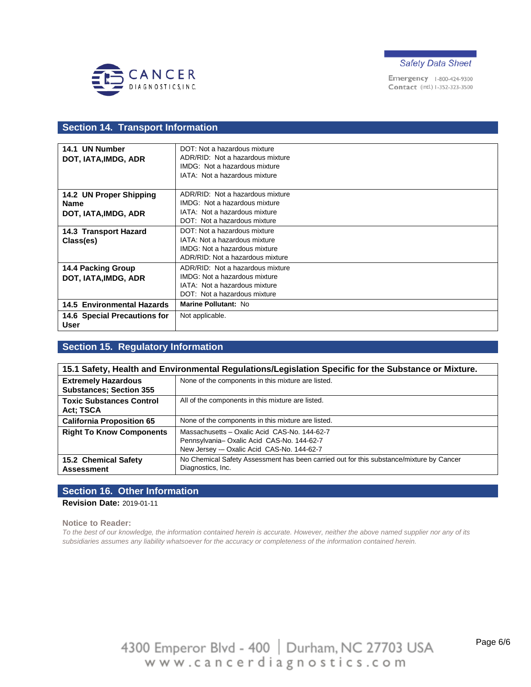



### **Section 14. Transport Information**

| 14.1 UN Number                       | DOT: Not a hazardous mixture         |
|--------------------------------------|--------------------------------------|
| DOT, IATA, IMDG, ADR                 | ADR/RID: Not a hazardous mixture     |
|                                      | IMDG: Not a hazardous mixture        |
|                                      | IATA: Not a hazardous mixture        |
|                                      |                                      |
| 14.2 UN Proper Shipping              | ADR/RID: Not a hazardous mixture     |
| <b>Name</b>                          | IMDG: Not a hazardous mixture        |
| DOT, IATA, IMDG, ADR                 | IATA: Not a hazardous mixture        |
|                                      | DOT: Not a hazardous mixture         |
| 14.3 Transport Hazard                | DOT: Not a hazardous mixture         |
| Class(es)                            | IATA: Not a hazardous mixture        |
|                                      | IMDG: Not a hazardous mixture        |
|                                      | ADR/RID: Not a hazardous mixture     |
| <b>14.4 Packing Group</b>            | ADR/RID: Not a hazardous mixture     |
| DOT, IATA, IMDG, ADR                 | <b>IMDG:</b> Not a hazardous mixture |
|                                      | IATA: Not a hazardous mixture        |
|                                      | DOT: Not a hazardous mixture         |
| <b>14.5 Environmental Hazards</b>    | Marine Pollutant: No                 |
| 14.6 Special Precautions for<br>User | Not applicable.                      |

## **Section 15. Regulatory Information**

| 15.1 Safety, Health and Environmental Regulations/Legislation Specific for the Substance or Mixture. |                                                                                                                                        |  |
|------------------------------------------------------------------------------------------------------|----------------------------------------------------------------------------------------------------------------------------------------|--|
| <b>Extremely Hazardous</b><br><b>Substances; Section 355</b>                                         | None of the components in this mixture are listed.                                                                                     |  |
| <b>Toxic Substances Control</b><br>Act: TSCA                                                         | All of the components in this mixture are listed.                                                                                      |  |
| <b>California Proposition 65</b>                                                                     | None of the components in this mixture are listed.                                                                                     |  |
| <b>Right To Know Components</b>                                                                      | Massachusetts - Oxalic Acid CAS-No. 144-62-7<br>Pennsylvania-Oxalic Acid CAS-No. 144-62-7<br>New Jersey - Oxalic Acid CAS-No. 144-62-7 |  |
| 15.2 Chemical Safety<br><b>Assessment</b>                                                            | No Chemical Safety Assessment has been carried out for this substance/mixture by Cancer<br>Diagnostics, Inc.                           |  |

#### **Section 16. Other Information**

**Revision Date:** 2019-01-11

#### **Notice to Reader:**

*To the best of our knowledge, the information contained herein is accurate. However, neither the above named supplier nor any of its subsidiaries assumes any liability whatsoever for the accuracy or completeness of the information contained herein.*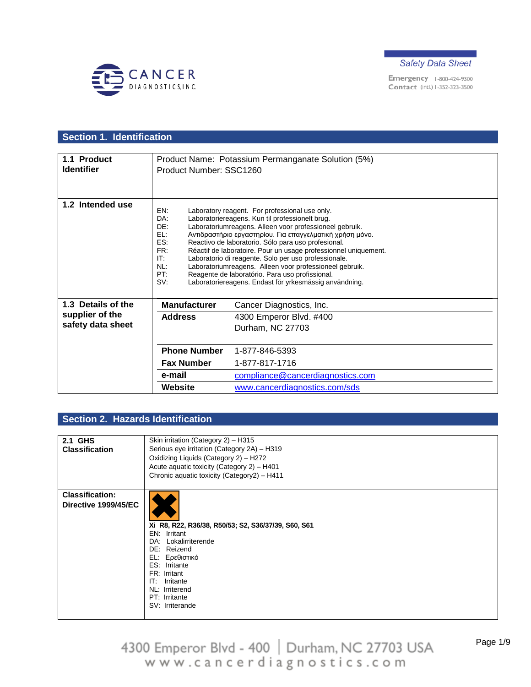



## **Section 1. Identification**

| 1.1 Product<br><b>Identifier</b>                       | Product Number: SSC1260                                            | Product Name: Potassium Permanganate Solution (5%)                                                                                                                                                                                                                                                                                                                                                                                                                                                                                                                                 |
|--------------------------------------------------------|--------------------------------------------------------------------|------------------------------------------------------------------------------------------------------------------------------------------------------------------------------------------------------------------------------------------------------------------------------------------------------------------------------------------------------------------------------------------------------------------------------------------------------------------------------------------------------------------------------------------------------------------------------------|
| 1.2 Intended use                                       | EN:<br>DA:<br>DE:<br>FL:<br>ES:<br>FR:<br>IT:<br>NL:<br>PT:<br>SV: | Laboratory reagent. For professional use only.<br>Laboratoriereagens. Kun til professionelt brug.<br>Laboratoriumreagens. Alleen voor professioneel gebruik.<br>Αντιδραστήριο εργαστηρίου. Για επαγγελματική χρήση μόνο.<br>Reactivo de laboratorio. Sólo para uso profesional.<br>Réactif de laboratoire. Pour un usage professionnel uniquement.<br>Laboratorio di reagente. Solo per uso professionale.<br>Laboratoriumreagens. Alleen voor professioneel gebruik.<br>Reagente de laboratório. Para uso profissional.<br>Laboratoriereagens. Endast för yrkesmässig användning. |
| 1.3 Details of the                                     | <b>Manufacturer</b>                                                | Cancer Diagnostics, Inc.                                                                                                                                                                                                                                                                                                                                                                                                                                                                                                                                                           |
| supplier of the<br><b>Address</b><br>safety data sheet | 4300 Emperor Blvd. #400<br>Durham, NC 27703                        |                                                                                                                                                                                                                                                                                                                                                                                                                                                                                                                                                                                    |
|                                                        | <b>Phone Number</b>                                                | 1-877-846-5393                                                                                                                                                                                                                                                                                                                                                                                                                                                                                                                                                                     |
|                                                        | <b>Fax Number</b>                                                  | 1-877-817-1716                                                                                                                                                                                                                                                                                                                                                                                                                                                                                                                                                                     |
|                                                        | e-mail                                                             | compliance@cancerdiagnostics.com                                                                                                                                                                                                                                                                                                                                                                                                                                                                                                                                                   |
|                                                        | Website                                                            | www.cancerdiagnostics.com/sds                                                                                                                                                                                                                                                                                                                                                                                                                                                                                                                                                      |

## **Section 2. Hazards Identification**

| 2.1 GHS                | Skin irritation (Category 2) - H315                 |
|------------------------|-----------------------------------------------------|
| <b>Classification</b>  | Serious eye irritation (Category 2A) - H319         |
|                        | Oxidizing Liquids (Category 2) - H272               |
|                        | Acute aquatic toxicity (Category 2) - H401          |
|                        | Chronic aquatic toxicity (Category2) - H411         |
|                        |                                                     |
| <b>Classification:</b> |                                                     |
| Directive 1999/45/EC   |                                                     |
|                        |                                                     |
|                        | Xi R8, R22, R36/38, R50/53; S2, S36/37/39, S60, S61 |
|                        | EN: Irritant                                        |
|                        | DA: Lokalirriterende                                |
|                        | DE: Reizend                                         |
|                        | EL: Ερεθιστικό                                      |
|                        | ES: Irritante                                       |
|                        | FR: Irritant                                        |
|                        | IT: Irritante                                       |
|                        | NL: Irriterend<br>PT: Irritante                     |
|                        | SV: Irriterande                                     |
|                        |                                                     |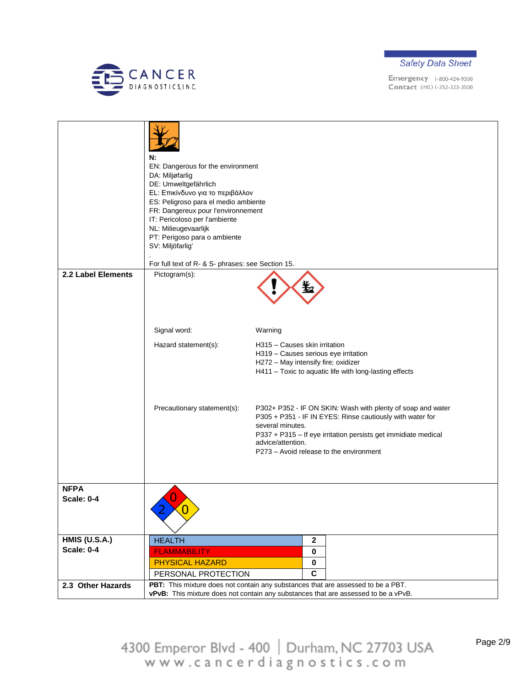



|                      | N:<br>EN: Dangerous for the environment<br>DA: Miljøfarlig<br>DE: Umweltgefährlich<br>EL: Επικίνδυνο για το περιβάλλον<br>ES: Peligroso para el medio ambiente<br>FR: Dangereux pour l'environnement<br>IT: Pericoloso per l'ambiente<br>NL: Milieugevaarlijk<br>PT: Perigoso para o ambiente<br>SV: Miljöfarlig'<br>For full text of R- & S- phrases: see Section 15. |                                                                                                                                                                                                                                                                                |
|----------------------|------------------------------------------------------------------------------------------------------------------------------------------------------------------------------------------------------------------------------------------------------------------------------------------------------------------------------------------------------------------------|--------------------------------------------------------------------------------------------------------------------------------------------------------------------------------------------------------------------------------------------------------------------------------|
| 2.2 Label Elements   | Pictogram(s):                                                                                                                                                                                                                                                                                                                                                          |                                                                                                                                                                                                                                                                                |
|                      |                                                                                                                                                                                                                                                                                                                                                                        |                                                                                                                                                                                                                                                                                |
|                      | Signal word:                                                                                                                                                                                                                                                                                                                                                           | Warning                                                                                                                                                                                                                                                                        |
|                      | Hazard statement(s):                                                                                                                                                                                                                                                                                                                                                   | H315 - Causes skin irritation<br>H319 - Causes serious eye irritation<br>H272 - May intensify fire; oxidizer<br>H411 - Toxic to aquatic life with long-lasting effects                                                                                                         |
|                      | Precautionary statement(s):                                                                                                                                                                                                                                                                                                                                            | P302+ P352 - IF ON SKIN: Wash with plenty of soap and water<br>P305 + P351 - IF IN EYES: Rinse cautiously with water for<br>several minutes.<br>P337 + P315 - If eye irritation persists get immidiate medical<br>advice/attention.<br>P273 - Avoid release to the environment |
| <b>NFPA</b>          |                                                                                                                                                                                                                                                                                                                                                                        |                                                                                                                                                                                                                                                                                |
| <b>Scale: 0-4</b>    |                                                                                                                                                                                                                                                                                                                                                                        |                                                                                                                                                                                                                                                                                |
| <b>HMIS (U.S.A.)</b> | <b>HEALTH</b>                                                                                                                                                                                                                                                                                                                                                          | $\mathbf{2}$                                                                                                                                                                                                                                                                   |
| <b>Scale: 0-4</b>    | <b>FLAMMABILITY</b>                                                                                                                                                                                                                                                                                                                                                    | $\mathbf 0$                                                                                                                                                                                                                                                                    |
|                      | <b>PHYSICAL HAZARD</b><br>PERSONAL PROTECTION                                                                                                                                                                                                                                                                                                                          | 0<br>$\mathbf c$                                                                                                                                                                                                                                                               |
| 2.3 Other Hazards    |                                                                                                                                                                                                                                                                                                                                                                        | PBT: This mixture does not contain any substances that are assessed to be a PBT.                                                                                                                                                                                               |
|                      |                                                                                                                                                                                                                                                                                                                                                                        | vPvB: This mixture does not contain any substances that are assessed to be a vPvB.                                                                                                                                                                                             |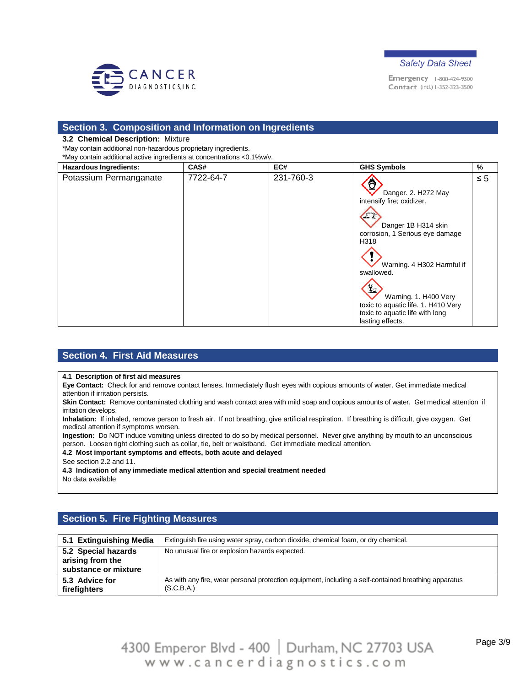



#### **Section 3. Composition and Information on Ingredients**

#### **3.2 Chemical Description:** Mixture

\*May contain additional non-hazardous proprietary ingredients. \*May contain additional active ingredients at concentrations <0.1%w/v.

**Hazardous Ingredients: CAS# EC# GHS Symbols %** Potassium Permanganate 7722-64-7 231-760-3 ≤ 5 Danger. 2. H272 May intensify fire; oxidizer.  $\sqrt{2}$ Danger 1B H314 skin corrosion, 1 Serious eye damage H318 Warning. 4 H302 Harmful if swallowed.  $\mathbf{E}$ Warning. 1. H400 Very toxic to aquatic life. 1. H410 Very toxic to aquatic life with long lasting effects.

### **Section 4. First Aid Measures**

#### **4.1 Description of first aid measures**

**Eye Contact:** Check for and remove contact lenses. Immediately flush eyes with copious amounts of water. Get immediate medical attention if irritation persists.

Skin Contact: Remove contaminated clothing and wash contact area with mild soap and copious amounts of water. Get medical attention if irritation develops.

**Inhalation:** If inhaled, remove person to fresh air. If not breathing, give artificial respiration. If breathing is difficult, give oxygen. Get medical attention if symptoms worsen.

**Ingestion:** Do NOT induce vomiting unless directed to do so by medical personnel. Never give anything by mouth to an unconscious person. Loosen tight clothing such as collar, tie, belt or waistband. Get immediate medical attention.

#### **4.2 Most important symptoms and effects, both acute and delayed**

See section 2.2 and 11.

**4.3 Indication of any immediate medical attention and special treatment needed**

No data available

### **Section 5. Fire Fighting Measures**

| 5.1 Extinguishing Media                                         | Extinguish fire using water spray, carbon dioxide, chemical foam, or dry chemical.                                 |
|-----------------------------------------------------------------|--------------------------------------------------------------------------------------------------------------------|
| 5.2 Special hazards<br>arising from the<br>substance or mixture | No unusual fire or explosion hazards expected.                                                                     |
| 5.3 Advice for<br>firefighters                                  | As with any fire, wear personal protection equipment, including a self-contained breathing apparatus<br>(S.C.B.A.) |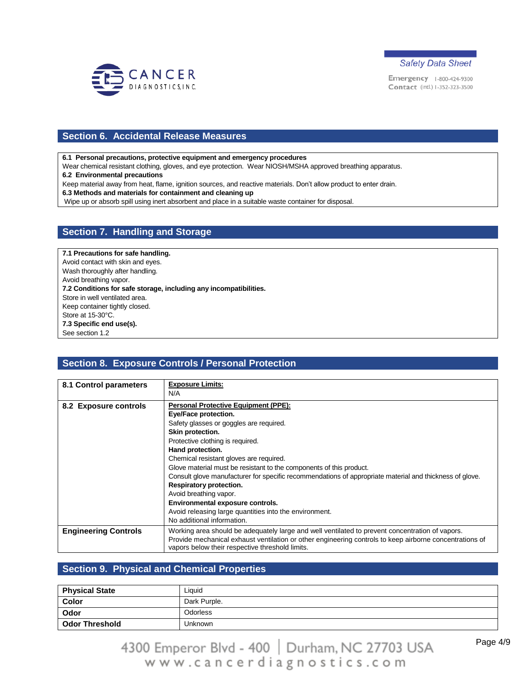



### **Section 6. Accidental Release Measures**

**6.1 Personal precautions, protective equipment and emergency procedures**

Wear chemical resistant clothing, gloves, and eye protection. Wear NIOSH/MSHA approved breathing apparatus.

**6.2 Environmental precautions**

Keep material away from heat, flame, ignition sources, and reactive materials. Don't allow product to enter drain.

**6.3 Methods and materials for containment and cleaning up**

Wipe up or absorb spill using inert absorbent and place in a suitable waste container for disposal.

#### **Section 7. Handling and Storage**

**7.1 Precautions for safe handling.** Avoid contact with skin and eyes. Wash thoroughly after handling. Avoid breathing vapor. **7.2 Conditions for safe storage, including any incompatibilities.** Store in well ventilated area. Keep container tightly closed. Store at 15-30°C. **7.3 Specific end use(s).** See section 1.2

### **Section 8. Exposure Controls / Personal Protection**

| 8.1 Control parameters      | <b>Exposure Limits:</b><br>N/A                                                                                                                                                                                                                                                                                                                                                                                                                                                                                                                                                                    |
|-----------------------------|---------------------------------------------------------------------------------------------------------------------------------------------------------------------------------------------------------------------------------------------------------------------------------------------------------------------------------------------------------------------------------------------------------------------------------------------------------------------------------------------------------------------------------------------------------------------------------------------------|
| 8.2 Exposure controls       | Personal Protective Equipment (PPE):<br>Eye/Face protection.<br>Safety glasses or goggles are required.<br>Skin protection.<br>Protective clothing is required.<br>Hand protection.<br>Chemical resistant gloves are required.<br>Glove material must be resistant to the components of this product.<br>Consult glove manufacturer for specific recommendations of appropriate material and thickness of glove.<br>Respiratory protection.<br>Avoid breathing vapor.<br>Environmental exposure controls.<br>Avoid releasing large quantities into the environment.<br>No additional information. |
| <b>Engineering Controls</b> | Working area should be adequately large and well ventilated to prevent concentration of vapors.<br>Provide mechanical exhaust ventilation or other engineering controls to keep airborne concentrations of<br>vapors below their respective threshold limits.                                                                                                                                                                                                                                                                                                                                     |

### **Section 9. Physical and Chemical Properties**

| <b>Physical State</b> | Liquid       |
|-----------------------|--------------|
| <b>Color</b>          | Dark Purple. |
| Odor                  | Odorless     |
| ∣ Odor Threshold      | Unknown      |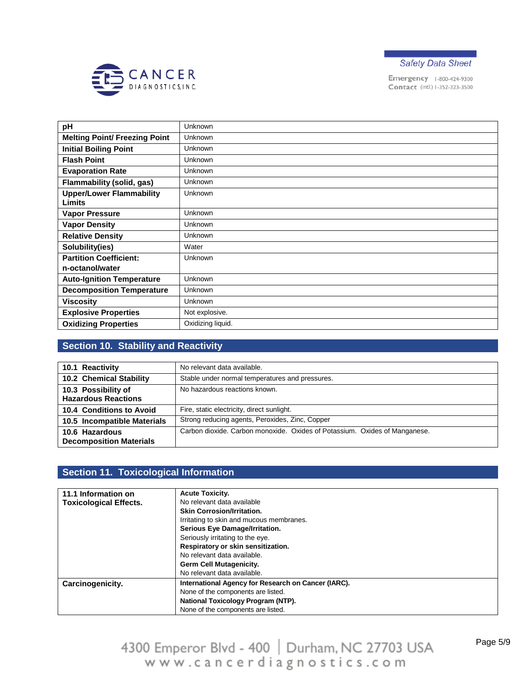



| pH                                   | Unknown           |
|--------------------------------------|-------------------|
| <b>Melting Point/ Freezing Point</b> | Unknown           |
| <b>Initial Boiling Point</b>         | Unknown           |
| <b>Flash Point</b>                   | <b>Unknown</b>    |
| <b>Evaporation Rate</b>              | Unknown           |
| <b>Flammability (solid, gas)</b>     | Unknown           |
| <b>Upper/Lower Flammability</b>      | Unknown           |
| <b>Limits</b>                        |                   |
| <b>Vapor Pressure</b>                | Unknown           |
| <b>Vapor Density</b>                 | Unknown           |
| <b>Relative Density</b>              | Unknown           |
| Solubility(ies)                      | Water             |
| <b>Partition Coefficient:</b>        | Unknown           |
| n-octanol/water                      |                   |
| <b>Auto-Ignition Temperature</b>     | Unknown           |
| <b>Decomposition Temperature</b>     | Unknown           |
| <b>Viscosity</b>                     | Unknown           |
| <b>Explosive Properties</b>          | Not explosive.    |
| <b>Oxidizing Properties</b>          | Oxidizing liquid. |

## **Section 10. Stability and Reactivity**

| 10.1 Reactivity                                   | No relevant data available.                                                |
|---------------------------------------------------|----------------------------------------------------------------------------|
| 10.2 Chemical Stability                           | Stable under normal temperatures and pressures.                            |
| 10.3 Possibility of<br><b>Hazardous Reactions</b> | No hazardous reactions known.                                              |
| 10.4 Conditions to Avoid                          | Fire, static electricity, direct sunlight.                                 |
| 10.5 Incompatible Materials                       | Strong reducing agents, Peroxides, Zinc, Copper                            |
| 10.6 Hazardous<br><b>Decomposition Materials</b>  | Carbon dioxide. Carbon monoxide. Oxides of Potassium. Oxides of Manganese. |

### **Section 11. Toxicological Information**

| 11.1 Information on           | <b>Acute Toxicity.</b>                              |
|-------------------------------|-----------------------------------------------------|
| <b>Toxicological Effects.</b> | No relevant data available                          |
|                               | <b>Skin Corrosion/Irritation.</b>                   |
|                               | Irritating to skin and mucous membranes.            |
|                               | Serious Eye Damage/Irritation.                      |
|                               | Seriously irritating to the eye.                    |
|                               | Respiratory or skin sensitization.                  |
|                               | No relevant data available.                         |
|                               | <b>Germ Cell Mutagenicity.</b>                      |
|                               | No relevant data available.                         |
| Carcinogenicity.              | International Agency for Research on Cancer (IARC). |
|                               | None of the components are listed.                  |
|                               | National Toxicology Program (NTP).                  |
|                               | None of the components are listed.                  |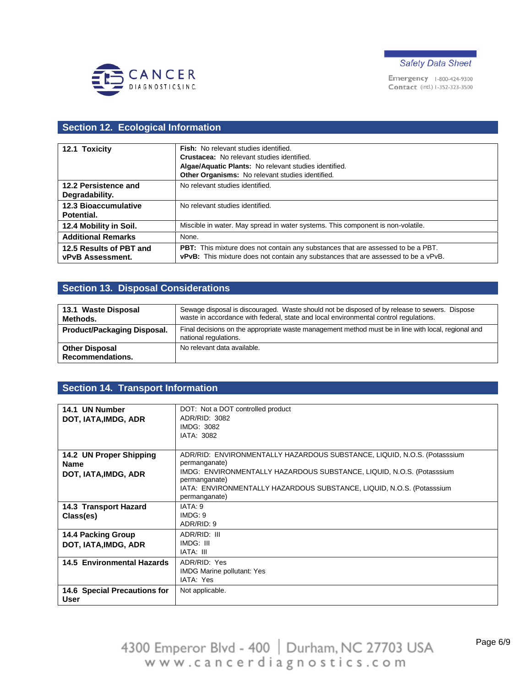



# **Section 12. Ecological Information**

| 12.1 Toxicity               | Fish: No relevant studies identified.                                                   |
|-----------------------------|-----------------------------------------------------------------------------------------|
|                             | Crustacea: No relevant studies identified.                                              |
|                             | Algae/Aquatic Plants: No relevant studies identified.                                   |
|                             | Other Organisms: No relevant studies identified.                                        |
| 12.2 Persistence and        | No relevant studies identified.                                                         |
| Degradability.              |                                                                                         |
| <b>12.3 Bioaccumulative</b> | No relevant studies identified.                                                         |
| Potential.                  |                                                                                         |
| 12.4 Mobility in Soil.      | Miscible in water. May spread in water systems. This component is non-volatile.         |
| <b>Additional Remarks</b>   | None.                                                                                   |
| 12.5 Results of PBT and     | <b>PBT:</b> This mixture does not contain any substances that are assessed to be a PBT. |
| <b>vPvB Assessment.</b>     | vPvB: This mixture does not contain any substances that are assessed to be a vPvB.      |

# **Section 13. Disposal Considerations**

| 13.1 Waste Disposal<br>Methods.           | Sewage disposal is discouraged. Waste should not be disposed of by release to sewers. Dispose<br>waste in accordance with federal, state and local environmental control regulations. |
|-------------------------------------------|---------------------------------------------------------------------------------------------------------------------------------------------------------------------------------------|
| <b>Product/Packaging Disposal.</b>        | Final decisions on the appropriate waste management method must be in line with local, regional and<br>national regulations.                                                          |
| <b>Other Disposal</b><br>Recommendations. | No relevant data available.                                                                                                                                                           |

# **Section 14. Transport Information**

| 14.1 UN Number                    | DOT: Not a DOT controlled product                                        |
|-----------------------------------|--------------------------------------------------------------------------|
| DOT, IATA, IMDG, ADR              | ADR/RID: 3082                                                            |
|                                   | IMDG: 3082                                                               |
|                                   | <b>IATA: 3082</b>                                                        |
|                                   |                                                                          |
| 14.2 UN Proper Shipping           | ADR/RID: ENVIRONMENTALLY HAZARDOUS SUBSTANCE, LIQUID, N.O.S. (Potasssium |
| <b>Name</b>                       | permanganate)                                                            |
| DOT, IATA, IMDG, ADR              | IMDG: ENVIRONMENTALLY HAZARDOUS SUBSTANCE, LIQUID, N.O.S. (Potasssium    |
|                                   | permanganate)                                                            |
|                                   | IATA: ENVIRONMENTALLY HAZARDOUS SUBSTANCE, LIQUID, N.O.S. (Potasssium    |
|                                   | permanganate)                                                            |
| 14.3 Transport Hazard             | IATA: 9                                                                  |
| Class(es)                         | IMDG: 9                                                                  |
|                                   | ADR/RID: 9                                                               |
| <b>14.4 Packing Group</b>         | ADR/RID: III                                                             |
| DOT, IATA, IMDG, ADR              | IMDG: III                                                                |
|                                   | IATA: III                                                                |
| <b>14.5 Environmental Hazards</b> | ADR/RID: Yes                                                             |
|                                   | <b>IMDG Marine pollutant: Yes</b>                                        |
|                                   | IATA: Yes                                                                |
| 14.6 Special Precautions for      | Not applicable.                                                          |
| <b>User</b>                       |                                                                          |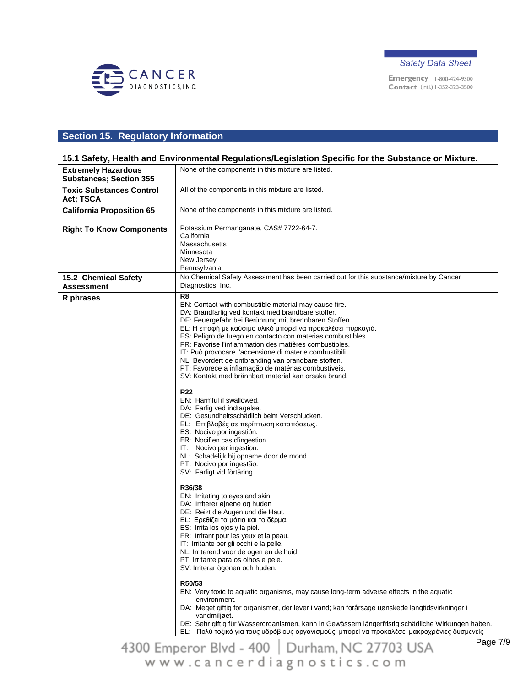



# **Section 15. Regulatory Information**

|                                                              | 15.1 Safety, Health and Environmental Regulations/Legislation Specific for the Substance or Mixture.                                                                                                                                                                                                                                                                                                                                                                                                                                                                                                                                                                                                                                                                                                                                                                                                                                                                                                                                                                                                                                                                                                                                                                                                                                                                                                                                                                                                                                                                                                                                                                                                                                                                                                                    |
|--------------------------------------------------------------|-------------------------------------------------------------------------------------------------------------------------------------------------------------------------------------------------------------------------------------------------------------------------------------------------------------------------------------------------------------------------------------------------------------------------------------------------------------------------------------------------------------------------------------------------------------------------------------------------------------------------------------------------------------------------------------------------------------------------------------------------------------------------------------------------------------------------------------------------------------------------------------------------------------------------------------------------------------------------------------------------------------------------------------------------------------------------------------------------------------------------------------------------------------------------------------------------------------------------------------------------------------------------------------------------------------------------------------------------------------------------------------------------------------------------------------------------------------------------------------------------------------------------------------------------------------------------------------------------------------------------------------------------------------------------------------------------------------------------------------------------------------------------------------------------------------------------|
| <b>Extremely Hazardous</b><br><b>Substances; Section 355</b> | None of the components in this mixture are listed.                                                                                                                                                                                                                                                                                                                                                                                                                                                                                                                                                                                                                                                                                                                                                                                                                                                                                                                                                                                                                                                                                                                                                                                                                                                                                                                                                                                                                                                                                                                                                                                                                                                                                                                                                                      |
| <b>Toxic Substances Control</b><br>Act; TSCA                 | All of the components in this mixture are listed.                                                                                                                                                                                                                                                                                                                                                                                                                                                                                                                                                                                                                                                                                                                                                                                                                                                                                                                                                                                                                                                                                                                                                                                                                                                                                                                                                                                                                                                                                                                                                                                                                                                                                                                                                                       |
| <b>California Proposition 65</b>                             | None of the components in this mixture are listed.                                                                                                                                                                                                                                                                                                                                                                                                                                                                                                                                                                                                                                                                                                                                                                                                                                                                                                                                                                                                                                                                                                                                                                                                                                                                                                                                                                                                                                                                                                                                                                                                                                                                                                                                                                      |
| <b>Right To Know Components</b>                              | Potassium Permanganate, CAS# 7722-64-7.<br>California<br>Massachusetts<br>Minnesota<br>New Jersey<br>Pennsylvania                                                                                                                                                                                                                                                                                                                                                                                                                                                                                                                                                                                                                                                                                                                                                                                                                                                                                                                                                                                                                                                                                                                                                                                                                                                                                                                                                                                                                                                                                                                                                                                                                                                                                                       |
| 15.2 Chemical Safety<br>Assessment                           | No Chemical Safety Assessment has been carried out for this substance/mixture by Cancer<br>Diagnostics, Inc.                                                                                                                                                                                                                                                                                                                                                                                                                                                                                                                                                                                                                                                                                                                                                                                                                                                                                                                                                                                                                                                                                                                                                                                                                                                                                                                                                                                                                                                                                                                                                                                                                                                                                                            |
| R phrases                                                    | R8<br>EN: Contact with combustible material may cause fire.<br>DA: Brandfarlig ved kontakt med brandbare stoffer.<br>DE: Feuergefahr bei Berührung mit brennbaren Stoffen.<br>EL: Η επαφή με καύσιμο υλικό μπορεί να προκαλέσει πυρκαγιά.<br>ES: Peligro de fuego en contacto con materias combustibles.<br>FR: Favorise l'inflammation des matières combustibles.<br>IT: Può provocare l'accensione di materie combustibili.<br>NL: Bevordert de ontbranding van brandbare stoffen.<br>PT: Favorece a inflamação de matérias combustíveis.<br>SV: Kontakt med brännbart material kan orsaka brand.<br><b>R22</b><br>EN: Harmful if swallowed.<br>DA: Farlig ved indtagelse.<br>DE: Gesundheitsschädlich beim Verschlucken.<br>EL: Επιβλαβές σε περίπτωση καταπόσεως.<br>ES: Nocivo por ingestión.<br>FR: Nocif en cas d'ingestion.<br>IT: Nocivo per ingestion.<br>NL: Schadelijk bij opname door de mond.<br>PT: Nocivo por ingestão.<br>SV: Farligt vid förtäring.<br>R36/38<br>EN: Irritating to eyes and skin.<br>DA: Irriterer øjnene og huden<br>DE: Reizt die Augen und die Haut.<br>EL: Ερεθίζει τα μάτια και το δέρμα.<br>ES: Irrita los ojos y la piel.<br>FR: Irritant pour les yeux et la peau.<br>IT: Irritante per gli occhi e la pelle.<br>NL: Irriterend voor de ogen en de huid.<br>PT: Irritante para os olhos e pele.<br>SV: Irriterar ögonen och huden.<br>R50/53<br>EN: Very toxic to aquatic organisms, may cause long-term adverse effects in the aquatic<br>environment.<br>DA: Meget giftig for organismer, der lever i vand; kan forårsage uønskede langtidsvirkninger i<br>vandmiljøet.<br>DE: Sehr giftig für Wasserorganismen, kann in Gewässern längerfristig schädliche Wirkungen haben.<br>ΕΙ: Πολύ τοξικό νια τους μδοόβιους ρονανισμούς, μπορεί να προκαλέσει μακρονοόνιες δυσμενείς |

<u>Πολύ τοξικό για τους υδρόβιους οργανισμούς, μπορεί να προκαλέσει μακροχρόνιες ουσμενείς</u>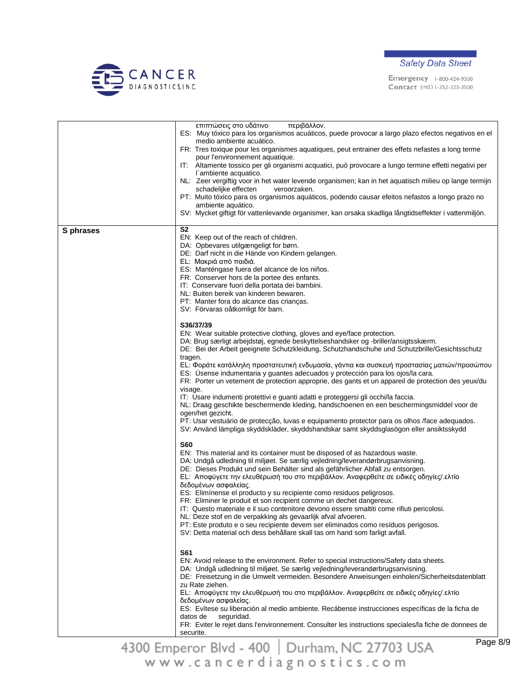



|           | περιβάλλον.<br>επιπτώσεις στο υδάτινο<br>ES: Muy tóxico para los organismos acuáticos, puede provocar a largo plazo efectos negativos en el<br>medio ambiente acuático.<br>FR: Tres toxique pour les organismes aquatiques, peut entrainer des effets nefastes a long terme<br>pour l'environnement aquatique.<br>IT: Altamente tossico per gli organismi acquatici, può provocare a lungo termine effetti negativi per<br>l'ambiente acquatico.<br>NL: Zeer vergiftig voor in het water levende organismen; kan in het aquatisch milieu op lange termijn<br>schadelijke effecten<br>veroorzaken.<br>PT: Muito tóxico para os organismos aquáticos, podendo causar efeitos nefastos a longo prazo no<br>ambiente aquático.<br>SV: Mycket giftigt för vattenlevande organismer, kan orsaka skadliga långtidseffekter i vattenmiljön.                                                                                                                                                        |
|-----------|--------------------------------------------------------------------------------------------------------------------------------------------------------------------------------------------------------------------------------------------------------------------------------------------------------------------------------------------------------------------------------------------------------------------------------------------------------------------------------------------------------------------------------------------------------------------------------------------------------------------------------------------------------------------------------------------------------------------------------------------------------------------------------------------------------------------------------------------------------------------------------------------------------------------------------------------------------------------------------------------|
| S phrases | S2<br>EN: Keep out of the reach of children.<br>DA: Opbevares utilgængeligt for børn.<br>DE: Darf nicht in die Hände von Kindern gelangen.<br>EL: Μακριά από παιδιά.<br>ES: Manténgase fuera del alcance de los niños.<br>FR: Conserver hors de la portee des enfants.<br>IT: Conservare fuori della portata dei bambini.<br>NL: Buiten bereik van kinderen bewaren.<br>PT: Manter fora do alcance das crianças.<br>SV: Förvaras oåtkomligt för barn.                                                                                                                                                                                                                                                                                                                                                                                                                                                                                                                                      |
|           | S36/37/39<br>EN: Wear suitable protective clothing, gloves and eye/face protection.<br>DA: Brug særligt arbejdstøj, egnede beskyttelseshandsker og -briller/ansigtsskærm.<br>DE: Bei der Arbeit geeignete Schutzkleidung, Schutzhandschuhe und Schutzbrille/Gesichtsschutz<br>tragen.<br>ΕL: Φοράτε κατάλληλη προστατευτική ενδυμασία, γάντια και συσκευή προστασίας ματιών/προσώπου<br>ES: Usense indumentaria y guantes adecuados y protección para los ojos/la cara.<br>FR: Porter un vetement de protection approprie, des gants et un appareil de protection des yeux/du<br>visage.<br>IT: Usare indumenti protettivi e guanti adatti e proteggersi gli occhi/la faccia.<br>NL: Draag geschikte beschermende kleding, handschoenen en een beschermingsmiddel voor de<br>ogen/het gezicht.<br>PT: Usar vestuário de protecção, luvas e equipamento protector para os olhos /face adequados.<br>SV: Använd lämpliga skyddskläder, skyddshandskar samt skyddsglasögon eller ansiktsskydd |
|           | S60<br>EN: This material and its container must be disposed of as hazardous waste.<br>DA: Undgå udledning til miljøet. Se særlig vejledning/leverandørbrugsanvisning.<br>DE: Dieses Produkt und sein Behälter sind als gefährlicher Abfall zu entsorgen.<br>EL: Αποφύγετε την ελευθέρωσή του στο περιβάλλον. Αναφερθείτε σε ειδικές οδηγίες/.ελτίο<br>δεδομένων ασφαλείας.<br>ES: Elimínense el producto y su recipiente como residuos peligrosos.<br>FR: Eliminer le produit et son recipient comme un dechet dangereux.<br>IT: Questo materiale e il suo contenitore devono essere smaltiti come rifiuti pericolosi.<br>NL: Deze stof en de verpakking als gevaarlijk afval afvoeren.<br>PT: Este produto e o seu recipiente devem ser eliminados como resíduos perigosos.<br>SV: Detta material och dess behållare skall tas om hand som farligt avfall.                                                                                                                                |
|           | S61<br>EN: Avoid release to the environment. Refer to special instructions/Safety data sheets.<br>DA: Undgå udledning til miljøet. Se særlig vejledning/leverandørbrugsanvisning.<br>DE: Freisetzung in die Umwelt vermeiden. Besondere Anweisungen einholen/Sicherheitsdatenblatt<br>zu Rate ziehen.<br>ΕL: Αποφύγετε την ελευθέρωσή του στο περιβάλλον. Αναφερθείτε σε ειδικές οδηγίες/.ελτίο<br>δεδομένων ασφαλείας.<br>ES: Evítese su liberación al medio ambiente. Recábense instrucciones específicas de la ficha de<br>datos de<br>seguridad.<br>FR: Eviter le rejet dans l'environnement. Consulter les instructions speciales/la fiche de donnees de<br>securite.                                                                                                                                                                                                                                                                                                                 |

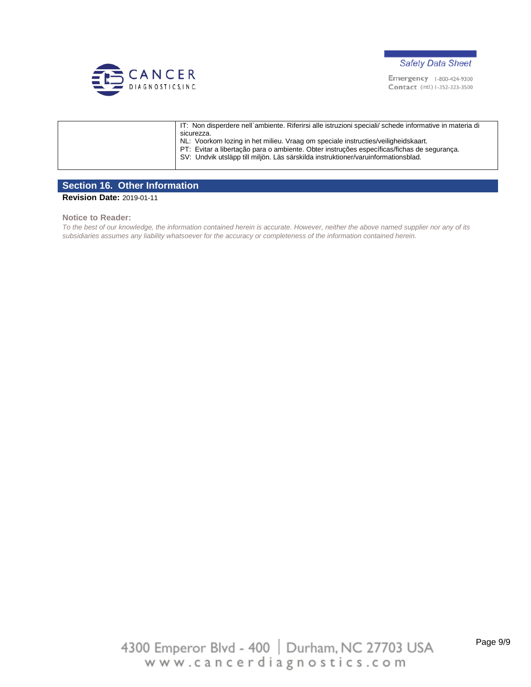



| IT: Non disperdere nell`ambiente. Riferirsi alle istruzioni speciali/ schede informative in materia di |
|--------------------------------------------------------------------------------------------------------|
| sicurezza.                                                                                             |
| NL: Voorkom lozing in het milieu. Vraag om speciale instructies/veiligheidskaart.                      |
| PT: Evitar a libertação para o ambiente. Obter instruções específicas/fichas de segurança.             |
| SV: Undvik utsläpp till miljön. Läs särskilda instruktioner/varuinformationsblad.                      |
|                                                                                                        |

### **Section 16. Other Information**

**Revision Date:** 2019-01-11

#### **Notice to Reader:**

*To the best of our knowledge, the information contained herein is accurate. However, neither the above named supplier nor any of its subsidiaries assumes any liability whatsoever for the accuracy or completeness of the information contained herein.*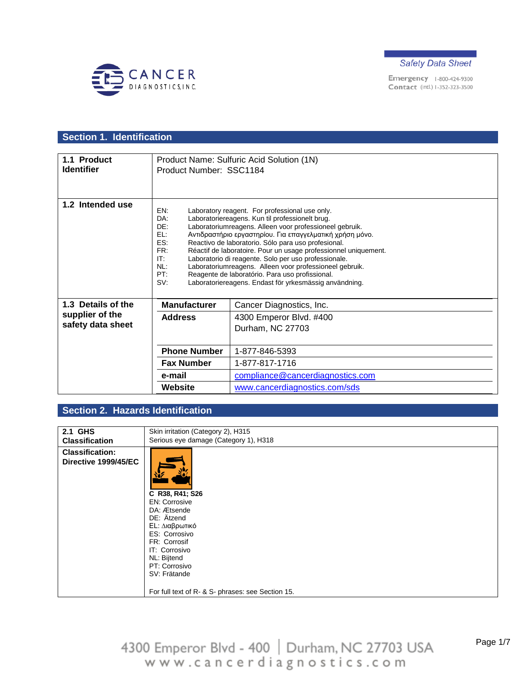



# **Section 1. Identification**

| 1.1 Product<br><b>Identifier</b> | Product Name: Sulfuric Acid Solution (1N)<br>Product Number: SSC1184 |                                                                                                                                                                                                                                                                                                                                                                                                                                                                                                                                                                                    |
|----------------------------------|----------------------------------------------------------------------|------------------------------------------------------------------------------------------------------------------------------------------------------------------------------------------------------------------------------------------------------------------------------------------------------------------------------------------------------------------------------------------------------------------------------------------------------------------------------------------------------------------------------------------------------------------------------------|
|                                  |                                                                      |                                                                                                                                                                                                                                                                                                                                                                                                                                                                                                                                                                                    |
| 1.2 Intended use                 | EN:<br>DA:<br>DE:<br>F1:<br>ES:<br>FR:<br>IT:<br>NL:<br>PT:<br>SV:   | Laboratory reagent. For professional use only.<br>Laboratoriereagens. Kun til professionelt brug.<br>Laboratoriumreagens. Alleen voor professioneel gebruik.<br>Αντιδραστήριο εργαστηρίου. Για επαγγελματική χρήση μόνο.<br>Reactivo de laboratorio. Sólo para uso profesional.<br>Réactif de laboratoire. Pour un usage professionnel uniquement.<br>Laboratorio di reagente. Solo per uso professionale.<br>Laboratoriumreagens. Alleen voor professioneel gebruik.<br>Reagente de laboratório. Para uso profissional.<br>Laboratoriereagens. Endast för yrkesmässig användning. |
| 1.3 Details of the               | <b>Manufacturer</b>                                                  | Cancer Diagnostics, Inc.                                                                                                                                                                                                                                                                                                                                                                                                                                                                                                                                                           |
| supplier of the                  | <b>Address</b>                                                       | 4300 Emperor Blvd. #400                                                                                                                                                                                                                                                                                                                                                                                                                                                                                                                                                            |
| safety data sheet                |                                                                      | Durham, NC 27703                                                                                                                                                                                                                                                                                                                                                                                                                                                                                                                                                                   |
|                                  |                                                                      |                                                                                                                                                                                                                                                                                                                                                                                                                                                                                                                                                                                    |
|                                  | <b>Phone Number</b>                                                  | 1-877-846-5393                                                                                                                                                                                                                                                                                                                                                                                                                                                                                                                                                                     |
|                                  | <b>Fax Number</b>                                                    | 1-877-817-1716                                                                                                                                                                                                                                                                                                                                                                                                                                                                                                                                                                     |
|                                  | e-mail                                                               | compliance@cancerdiagnostics.com                                                                                                                                                                                                                                                                                                                                                                                                                                                                                                                                                   |
|                                  | Website                                                              | www.cancerdiagnostics.com/sds                                                                                                                                                                                                                                                                                                                                                                                                                                                                                                                                                      |

## **Section 2. Hazards Identification**

| 2.1 GHS<br><b>Classification</b><br><b>Classification:</b>                                                                                                                                                       | Skin irritation (Category 2), H315<br>Serious eye damage (Category 1), H318 |
|------------------------------------------------------------------------------------------------------------------------------------------------------------------------------------------------------------------|-----------------------------------------------------------------------------|
|                                                                                                                                                                                                                  |                                                                             |
|                                                                                                                                                                                                                  |                                                                             |
|                                                                                                                                                                                                                  |                                                                             |
| Directive 1999/45/EC<br>C R38, R41; S26<br><b>EN: Corrosive</b><br>DA: Ætsende<br>DE: Ätzend<br>EL: Διαβρωτικό<br>ES: Corrosivo<br>FR: Corrosif<br>IT: Corrosivo<br>NL: Bijtend<br>PT: Corrosivo<br>SV: Frätande | For full text of R- & S- phrases: see Section 15.                           |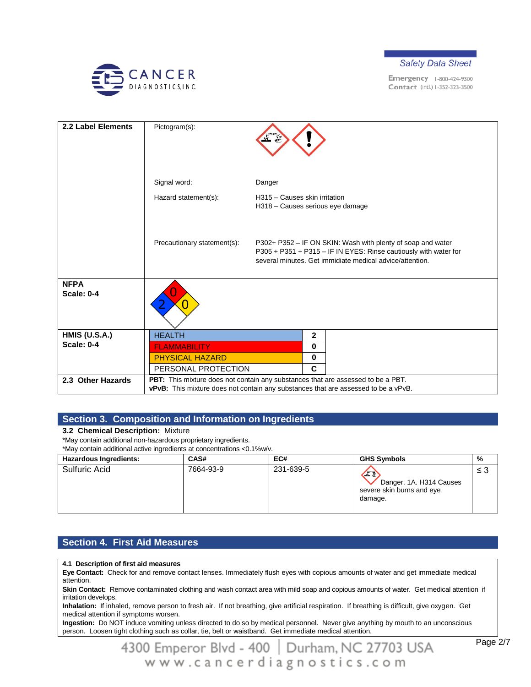



| 2.2 Label Elements               | Pictogram(s):               |                                                                                                                                                                                             |
|----------------------------------|-----------------------------|---------------------------------------------------------------------------------------------------------------------------------------------------------------------------------------------|
|                                  | Signal word:                | Danger                                                                                                                                                                                      |
|                                  | Hazard statement(s):        | H315 - Causes skin irritation<br>H318 - Causes serious eye damage                                                                                                                           |
|                                  | Precautionary statement(s): | P302+ P352 - IF ON SKIN: Wash with plenty of soap and water<br>P305 + P351 + P315 - IF IN EYES: Rinse cautiously with water for<br>several minutes. Get immidiate medical advice/attention. |
| <b>NFPA</b><br><b>Scale: 0-4</b> |                             |                                                                                                                                                                                             |
| <b>HMIS (U.S.A.)</b>             | <b>HEALTH</b>               | $\mathbf 2$                                                                                                                                                                                 |
| <b>Scale: 0-4</b>                | <b>FLAMMABILITY</b>         | 0                                                                                                                                                                                           |
|                                  | <b>PHYSICAL HAZARD</b>      | 0                                                                                                                                                                                           |
|                                  | PERSONAL PROTECTION         | C                                                                                                                                                                                           |
| 2.3 Other Hazards                |                             | PBT: This mixture does not contain any substances that are assessed to be a PBT.<br>vPvB: This mixture does not contain any substances that are assessed to be a vPvB.                      |

### **Section 3. Composition and Information on Ingredients**

#### **3.2 Chemical Description:** Mixture

\*May contain additional non-hazardous proprietary ingredients.

\*May contain additional active ingredients at concentrations <0.1%w/v.

| <b>Hazardous Ingredients:</b> | CAS#      | EC#       | <b>GHS Symbols</b>                                                   | %   |
|-------------------------------|-----------|-----------|----------------------------------------------------------------------|-----|
| Sulfuric Acid                 | 7664-93-9 | 231-639-5 | Œ<br>Danger. 1A. H314 Causes<br>severe skin burns and eye<br>damage. | ≤ 3 |

## **Section 4. First Aid Measures**

#### **4.1 Description of first aid measures**

**Eye Contact:** Check for and remove contact lenses. Immediately flush eyes with copious amounts of water and get immediate medical attention.

**Skin Contact:** Remove contaminated clothing and wash contact area with mild soap and copious amounts of water. Get medical attention if irritation develops.

**Inhalation:** If inhaled, remove person to fresh air. If not breathing, give artificial respiration. If breathing is difficult, give oxygen. Get medical attention if symptoms worsen.

**Ingestion:** Do NOT induce vomiting unless directed to do so by medical personnel. Never give anything by mouth to an unconscious person. Loosen tight clothing such as collar, tie, belt or waistband. Get immediate medical attention.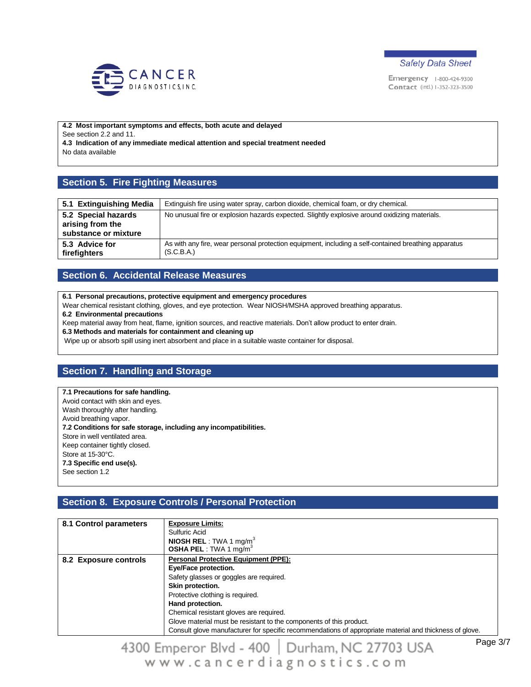



**4.2 Most important symptoms and effects, both acute and delayed** See section 2.2 and 11. **4.3 Indication of any immediate medical attention and special treatment needed** No data available

## **Section 5. Fire Fighting Measures**

| 5.1 Extinguishing Media                                         | Extinguish fire using water spray, carbon dioxide, chemical foam, or dry chemical.                                 |
|-----------------------------------------------------------------|--------------------------------------------------------------------------------------------------------------------|
| 5.2 Special hazards<br>arising from the<br>substance or mixture | No unusual fire or explosion hazards expected. Slightly explosive around oxidizing materials.                      |
| 5.3 Advice for<br>firefighters                                  | As with any fire, wear personal protection equipment, including a self-contained breathing apparatus<br>(S.C.B.A.) |

### **Section 6. Accidental Release Measures**

**6.1 Personal precautions, protective equipment and emergency procedures**

Wear chemical resistant clothing, gloves, and eye protection. Wear NIOSH/MSHA approved breathing apparatus.

**6.2 Environmental precautions**

Keep material away from heat, flame, ignition sources, and reactive materials. Don't allow product to enter drain.

**6.3 Methods and materials for containment and cleaning up**

Wipe up or absorb spill using inert absorbent and place in a suitable waste container for disposal.

### **Section 7. Handling and Storage**

**7.1 Precautions for safe handling.** Avoid contact with skin and eyes. Wash thoroughly after handling. Avoid breathing vapor. **7.2 Conditions for safe storage, including any incompatibilities.** Store in well ventilated area. Keep container tightly closed. Store at 15-30°C. **7.3 Specific end use(s).** See section 1.2

# **Section 8. Exposure Controls / Personal Protection**

| 8.1 Control parameters | <b>Exposure Limits:</b>                                                                                 |
|------------------------|---------------------------------------------------------------------------------------------------------|
|                        | Sulfuric Acid                                                                                           |
|                        | <b>NIOSH REL</b> : TWA 1 mg/m <sup>3</sup>                                                              |
|                        | <b>OSHA PEL</b> : TWA 1 mg/m <sup>3</sup>                                                               |
| 8.2 Exposure controls  | <b>Personal Protective Equipment (PPE):</b>                                                             |
|                        | Eye/Face protection.                                                                                    |
|                        | Safety glasses or goggles are required.                                                                 |
|                        | Skin protection.                                                                                        |
|                        | Protective clothing is required.                                                                        |
|                        | Hand protection.                                                                                        |
|                        | Chemical resistant gloves are required.                                                                 |
|                        | Glove material must be resistant to the components of this product.                                     |
|                        | Consult glove manufacturer for specific recommendations of appropriate material and thickness of glove. |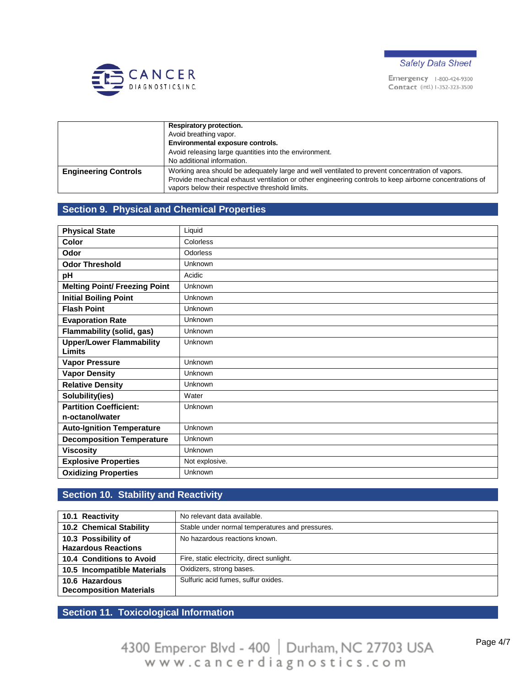



|                             | Respiratory protection.                                                                                                                                                                                                                                       |
|-----------------------------|---------------------------------------------------------------------------------------------------------------------------------------------------------------------------------------------------------------------------------------------------------------|
|                             | Avoid breathing vapor.                                                                                                                                                                                                                                        |
|                             | Environmental exposure controls.                                                                                                                                                                                                                              |
|                             | Avoid releasing large quantities into the environment.                                                                                                                                                                                                        |
|                             | No additional information.                                                                                                                                                                                                                                    |
| <b>Engineering Controls</b> | Working area should be adequately large and well ventilated to prevent concentration of vapors.<br>Provide mechanical exhaust ventilation or other engineering controls to keep airborne concentrations of<br>vapors below their respective threshold limits. |

## **Section 9. Physical and Chemical Properties**

| <b>Physical State</b>                            | Liquid         |
|--------------------------------------------------|----------------|
| Color                                            | Colorless      |
| Odor                                             | Odorless       |
| <b>Odor Threshold</b>                            | Unknown        |
| рH                                               | Acidic         |
| <b>Melting Point/ Freezing Point</b>             | Unknown        |
| <b>Initial Boiling Point</b>                     | Unknown        |
| <b>Flash Point</b>                               | Unknown        |
| <b>Evaporation Rate</b>                          | Unknown        |
| Flammability (solid, gas)                        | Unknown        |
| <b>Upper/Lower Flammability</b><br><b>Limits</b> | Unknown        |
| <b>Vapor Pressure</b>                            | Unknown        |
| <b>Vapor Density</b>                             | Unknown        |
| <b>Relative Density</b>                          | Unknown        |
| Solubility(ies)                                  | Water          |
| <b>Partition Coefficient:</b>                    | Unknown        |
| n-octanol/water                                  |                |
| <b>Auto-Ignition Temperature</b>                 | Unknown        |
| <b>Decomposition Temperature</b>                 | Unknown        |
| <b>Viscosity</b>                                 | Unknown        |
| <b>Explosive Properties</b>                      | Not explosive. |
| <b>Oxidizing Properties</b>                      | Unknown        |

## **Section 10. Stability and Reactivity**

| 10.1 Reactivity                                   | No relevant data available.                     |
|---------------------------------------------------|-------------------------------------------------|
| <b>10.2 Chemical Stability</b>                    | Stable under normal temperatures and pressures. |
| 10.3 Possibility of<br><b>Hazardous Reactions</b> | No hazardous reactions known.                   |
| 10.4 Conditions to Avoid                          | Fire, static electricity, direct sunlight.      |
| 10.5 Incompatible Materials                       | Oxidizers, strong bases.                        |
| 10.6 Hazardous<br><b>Decomposition Materials</b>  | Sulfuric acid fumes, sulfur oxides.             |

**Section 11. Toxicological Information**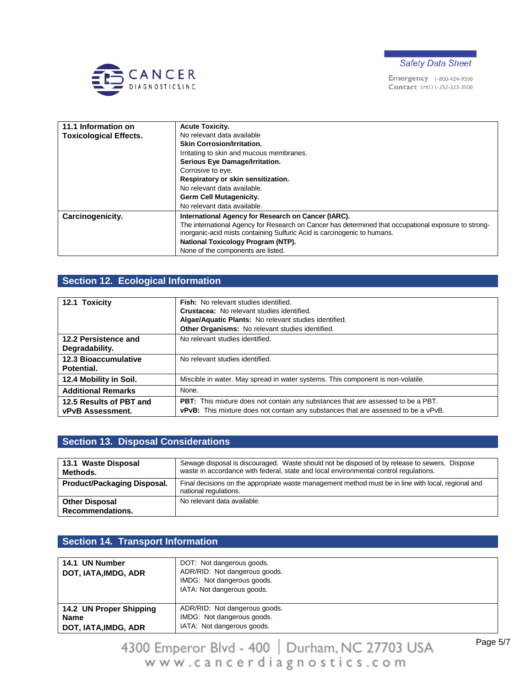



| 11.1 Information on           | <b>Acute Toxicity.</b>                                                                               |
|-------------------------------|------------------------------------------------------------------------------------------------------|
| <b>Toxicological Effects.</b> | No relevant data available                                                                           |
|                               | <b>Skin Corrosion/Irritation.</b>                                                                    |
|                               | Irritating to skin and mucous membranes.                                                             |
|                               | Serious Eye Damage/Irritation.                                                                       |
|                               | Corrosive to eye.                                                                                    |
|                               | Respiratory or skin sensitization.                                                                   |
|                               | No relevant data available.                                                                          |
|                               | <b>Germ Cell Mutagenicity.</b>                                                                       |
|                               | No relevant data available.                                                                          |
| Carcinogenicity.              | International Agency for Research on Cancer (IARC).                                                  |
|                               | The international Agency for Research on Cancer has determined that occupational exposure to strong- |
|                               | inorganic-acid mists containing Sulfuric Acid is carcinogenic to humans.                             |
|                               | National Toxicology Program (NTP).                                                                   |
|                               | None of the components are listed.                                                                   |

# **Section 12. Ecological Information**

| 12.1 Toxicity                                      | <b>Fish:</b> No relevant studies identified.<br><b>Crustacea:</b> No relevant studies identified.<br>Algae/Aquatic Plants: No relevant studies identified.<br>Other Organisms: No relevant studies identified. |
|----------------------------------------------------|----------------------------------------------------------------------------------------------------------------------------------------------------------------------------------------------------------------|
| 12.2 Persistence and<br>Degradability.             | No relevant studies identified.                                                                                                                                                                                |
| <b>12.3 Bioaccumulative</b><br>Potential.          | No relevant studies identified.                                                                                                                                                                                |
| 12.4 Mobility in Soil.                             | Miscible in water. May spread in water systems. This component is non-volatile.                                                                                                                                |
| <b>Additional Remarks</b>                          | None.                                                                                                                                                                                                          |
| 12.5 Results of PBT and<br><b>vPvB Assessment.</b> | <b>PBT:</b> This mixture does not contain any substances that are assessed to be a PBT.<br>vPvB: This mixture does not contain any substances that are assessed to be a vPvB.                                  |

# **Section 13. Disposal Considerations**

| 13.1 Waste Disposal<br>Methods.           | Sewage disposal is discouraged. Waste should not be disposed of by release to sewers. Dispose<br>waste in accordance with federal, state and local environmental control regulations. |
|-------------------------------------------|---------------------------------------------------------------------------------------------------------------------------------------------------------------------------------------|
| Product/Packaging Disposal.               | Final decisions on the appropriate waste management method must be in line with local, regional and<br>national regulations.                                                          |
| <b>Other Disposal</b><br>Recommendations. | No relevant data available.                                                                                                                                                           |

### **Section 14. Transport Information**

| 14.1 UN Number<br>DOT, IATA, IMDG, ADR | DOT: Not dangerous goods.<br>ADR/RID: Not dangerous goods.<br>IMDG: Not dangerous goods.<br>IATA: Not dangerous goods. |
|----------------------------------------|------------------------------------------------------------------------------------------------------------------------|
| 14.2 UN Proper Shipping                | ADR/RID: Not dangerous goods.                                                                                          |
| <b>Name</b>                            | IMDG: Not dangerous goods.                                                                                             |
| DOT, IATA, IMDG, ADR                   | IATA: Not dangerous goods.                                                                                             |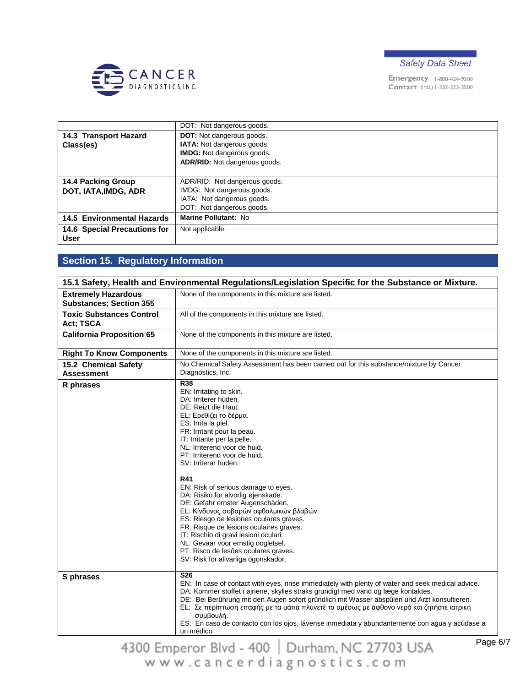



|                                   | DOT: Not dangerous goods.            |
|-----------------------------------|--------------------------------------|
| 14.3 Transport Hazard             | <b>DOT:</b> Not dangerous goods.     |
| Class(es)                         | IATA: Not dangerous goods.           |
|                                   | <b>IMDG:</b> Not dangerous goods.    |
|                                   | <b>ADR/RID:</b> Not dangerous goods. |
|                                   |                                      |
| <b>14.4 Packing Group</b>         | ADR/RID: Not dangerous goods.        |
| DOT, IATA, IMDG, ADR              | IMDG: Not dangerous goods.           |
|                                   | IATA: Not dangerous goods.           |
|                                   | DOT: Not dangerous goods.            |
| <b>14.5 Environmental Hazards</b> | Marine Pollutant: No                 |
| 14.6 Special Precautions for      | Not applicable.                      |
| <b>User</b>                       |                                      |

# **Section 15. Regulatory Information**

| 15.1 Safety, Health and Environmental Regulations/Legislation Specific for the Substance or Mixture. |                                                                                                                                                                                                                                                                                                                                                                                                                                                                                                                                                                                                                                                                                                                   |
|------------------------------------------------------------------------------------------------------|-------------------------------------------------------------------------------------------------------------------------------------------------------------------------------------------------------------------------------------------------------------------------------------------------------------------------------------------------------------------------------------------------------------------------------------------------------------------------------------------------------------------------------------------------------------------------------------------------------------------------------------------------------------------------------------------------------------------|
| <b>Extremely Hazardous</b><br><b>Substances; Section 355</b>                                         | None of the components in this mixture are listed.                                                                                                                                                                                                                                                                                                                                                                                                                                                                                                                                                                                                                                                                |
| <b>Toxic Substances Control</b><br>Act; TSCA                                                         | All of the components in this mixture are listed.                                                                                                                                                                                                                                                                                                                                                                                                                                                                                                                                                                                                                                                                 |
| <b>California Proposition 65</b>                                                                     | None of the components in this mixture are listed.                                                                                                                                                                                                                                                                                                                                                                                                                                                                                                                                                                                                                                                                |
| <b>Right To Know Components</b>                                                                      | None of the components in this mixture are listed.                                                                                                                                                                                                                                                                                                                                                                                                                                                                                                                                                                                                                                                                |
| 15.2 Chemical Safety<br><b>Assessment</b>                                                            | No Chemical Safety Assessment has been carried out for this substance/mixture by Cancer<br>Diagnostics, Inc.                                                                                                                                                                                                                                                                                                                                                                                                                                                                                                                                                                                                      |
| R phrases                                                                                            | R38<br>EN: Irritating to skin.<br>DA: Irriterer huden.<br>DE: Reizt die Haut.<br>EL: Ερεθίζει το δέρμα.<br>ES: Irrita la piel.<br>FR: Irritant pour la peau.<br>IT: Irritante per la pelle.<br>NL: Irriterend voor de huid.<br>PT: Irriterend voor de huid.<br>SV: Irriterar huden.<br><b>R41</b><br>EN: Risk of serious damage to eyes.<br>DA: Risiko for alvorlig øjenskade.<br>DE: Gefahr ernster Augenschäden.<br>EL: Κίνδυνος σοβαρών οφθαλμικών βλαβών.<br>ES: Riesgo de lesiones oculares graves.<br>FR: Risque de lésions oculaires graves.<br>IT: Rischio di gravi lesioni oculari.<br>NL: Gevaar voor ernstig oogletsel.<br>PT: Risco de lesões oculares graves.<br>SV: Risk för allvarliga ögonskador. |
| S phrases                                                                                            | <b>S26</b><br>EN: In case of contact with eyes, rinse immediately with plenty of water and seek medical advice.<br>DA: Kommer stoffet i øjnene, skylles straks grundigt med vand og læge kontaktes.<br>DE: Bei Berührung mit den Augen sofort gründlich mit Wasser abspülen und Arzt konsultieren.<br>EL: Σε περίπτωση επαφής με τα μάτια πλύνετέ τα αμέσως με άφθονο νερό και ζητήστε ιατρική<br>συμβουλή.<br>ES: En caso de contacto con los ojos, lávense inmediata y abundantemente con agua y acúdase a<br>un médico.<br>п.                                                                                                                                                                                  |